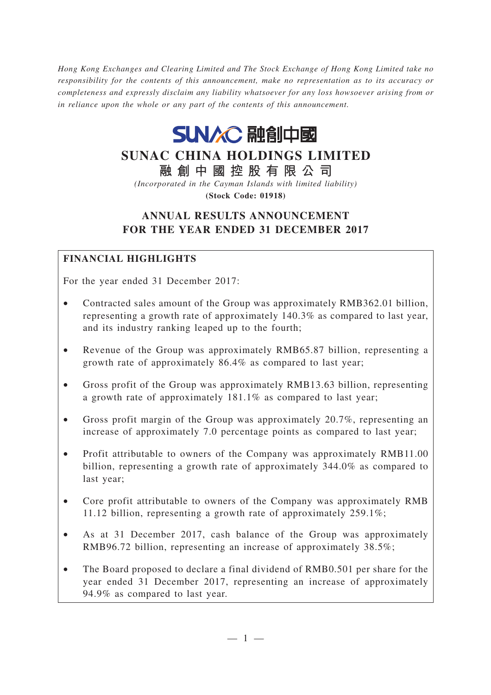*Hong Kong Exchanges and Clearing Limited and The Stock Exchange of Hong Kong Limited take no responsibility for the contents of this announcement, make no representation as to its accuracy or completeness and expressly disclaim any liability whatsoever for any loss howsoever arising from or in reliance upon the whole or any part of the contents of this announcement.*



# **SUNAC CHINA HOLDINGS LIMITED**

**融創中國控股有限公司**

*(Incorporated in the Cayman Islands with limited liability)* **(Stock Code: 01918)**

# **ANNUAL RESULTS ANNOUNCEMENT FOR THE YEAR ENDED 31 DECEMBER 2017**

## **FINANCIAL HIGHLIGHTS**

For the year ended 31 December 2017:

- Contracted sales amount of the Group was approximately RMB362.01 billion, representing a growth rate of approximately 140.3% as compared to last year, and its industry ranking leaped up to the fourth;
- Revenue of the Group was approximately RMB65.87 billion, representing a growth rate of approximately 86.4% as compared to last year;
- Gross profit of the Group was approximately RMB13.63 billion, representing a growth rate of approximately 181.1% as compared to last year;
- Gross profit margin of the Group was approximately 20.7%, representing an increase of approximately 7.0 percentage points as compared to last year;
- Profit attributable to owners of the Company was approximately RMB11.00 billion, representing a growth rate of approximately 344.0% as compared to last year;
- Core profit attributable to owners of the Company was approximately RMB 11.12 billion, representing a growth rate of approximately 259.1%;
- As at 31 December 2017, cash balance of the Group was approximately RMB96.72 billion, representing an increase of approximately 38.5%;
- The Board proposed to declare a final dividend of RMB0.501 per share for the year ended 31 December 2017, representing an increase of approximately 94.9% as compared to last year.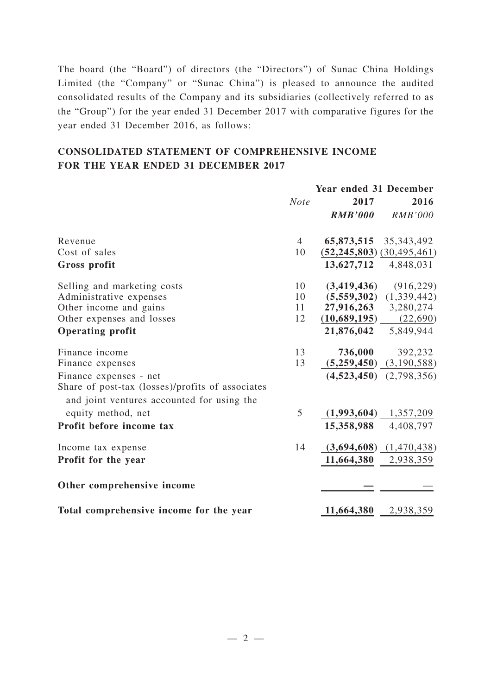The board (the "Board") of directors (the "Directors") of Sunac China Holdings Limited (the "Company" or "Sunac China") is pleased to announce the audited consolidated results of the Company and its subsidiaries (collectively referred to as the "Group") for the year ended 31 December 2017 with comparative figures for the year ended 31 December 2016, as follows:

## **CONSOLIDATED STATEMENT OF COMPREHENSIVE INCOME FOR THE YEAR ENDED 31 DECEMBER 2017**

|                                                                                                | Year ended 31 December |                                   |                             |
|------------------------------------------------------------------------------------------------|------------------------|-----------------------------------|-----------------------------|
|                                                                                                | <b>Note</b>            | 2017                              | 2016                        |
|                                                                                                |                        | <b>RMB'000</b>                    | <b>RMB'000</b>              |
| Revenue                                                                                        | $\overline{4}$         |                                   | 65,873,515 35,343,492       |
| Cost of sales                                                                                  | 10                     | $(52, 245, 803)$ $(30, 495, 461)$ |                             |
| Gross profit                                                                                   |                        | 13,627,712                        | 4,848,031                   |
| Selling and marketing costs                                                                    | 10                     | (3,419,436)                       | (916, 229)                  |
| Administrative expenses                                                                        | 10                     | (5,559,302)                       | (1,339,442)                 |
| Other income and gains                                                                         | 11                     |                                   | 27,916,263 3,280,274        |
| Other expenses and losses                                                                      | 12                     | (10,689,195)                      | (22,690)                    |
| <b>Operating profit</b>                                                                        |                        | 21,876,042                        | 5,849,944                   |
| Finance income                                                                                 | 13                     | 736,000                           | 392,232                     |
| Finance expenses                                                                               | 13                     | (5,259,450)                       | (3,190,588)                 |
| Finance expenses - net                                                                         |                        |                                   | $(4,523,450)$ $(2,798,356)$ |
| Share of post-tax (losses)/profits of associates<br>and joint ventures accounted for using the |                        |                                   |                             |
| equity method, net                                                                             | 5                      |                                   | $(1,993,604)$ 1,357,209     |
| Profit before income tax                                                                       |                        | 15,358,988                        | 4,408,797                   |
| Income tax expense                                                                             | 14                     |                                   | $(3,694,608)$ $(1,470,438)$ |
| Profit for the year                                                                            |                        |                                   | $11,664,380$ 2,938,359      |
| Other comprehensive income                                                                     |                        |                                   |                             |
| Total comprehensive income for the year                                                        |                        | 11,664,380                        | 2,938,359                   |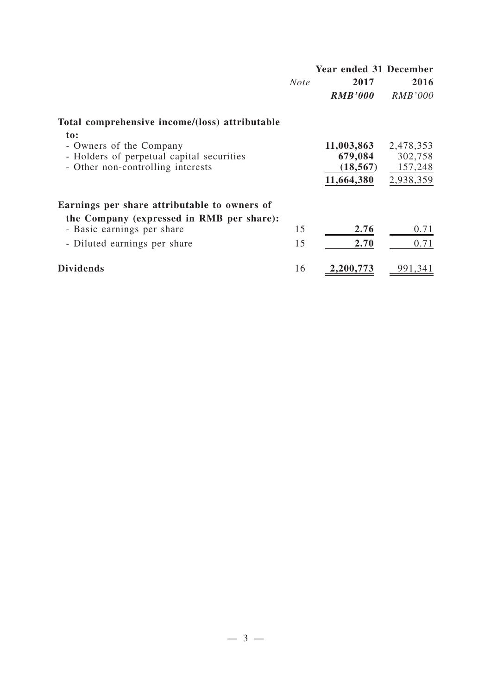|                                                                                                                  |             | Year ended 31 December                           |                                              |
|------------------------------------------------------------------------------------------------------------------|-------------|--------------------------------------------------|----------------------------------------------|
|                                                                                                                  | <b>Note</b> | 2017                                             | 2016                                         |
|                                                                                                                  |             | <b>RMB'000</b>                                   | <i>RMB'000</i>                               |
| Total comprehensive income/(loss) attributable                                                                   |             |                                                  |                                              |
| to:<br>- Owners of the Company<br>- Holders of perpetual capital securities<br>- Other non-controlling interests |             | 11,003,863<br>679,084<br>(18, 567)<br>11,664,380 | 2,478,353<br>302,758<br>157,248<br>2,938,359 |
| Earnings per share attributable to owners of                                                                     |             |                                                  |                                              |
| the Company (expressed in RMB per share):<br>- Basic earnings per share<br>- Diluted earnings per share          | 15<br>15    | 2.76<br>2.70                                     | 0.71<br>0.71                                 |
| <b>Dividends</b>                                                                                                 | 16          | 2,200,773                                        | 991,341                                      |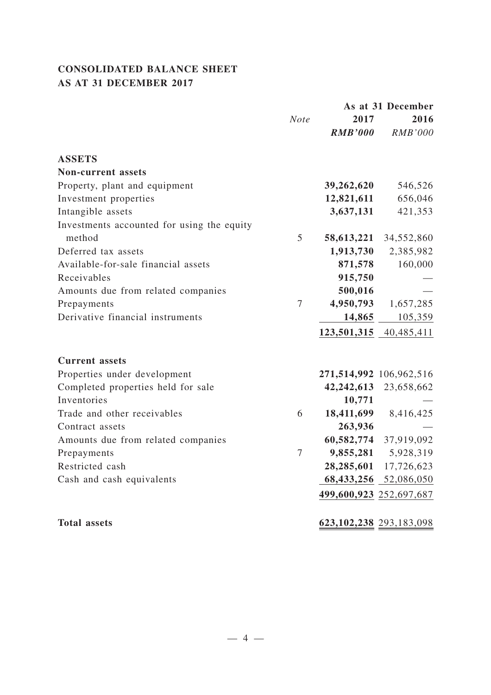# **CONSOLIDATED BALANCE SHEET AS AT 31 DECEMBER 2017**

|                                            |                |                | As at 31 December       |
|--------------------------------------------|----------------|----------------|-------------------------|
|                                            | <b>Note</b>    | 2017           | 2016                    |
|                                            |                | <b>RMB'000</b> | <b>RMB'000</b>          |
| <b>ASSETS</b>                              |                |                |                         |
| <b>Non-current assets</b>                  |                |                |                         |
| Property, plant and equipment              |                | 39,262,620     | 546,526                 |
| Investment properties                      |                | 12,821,611     | 656,046                 |
| Intangible assets                          |                | 3,637,131      | 421,353                 |
| Investments accounted for using the equity |                |                |                         |
| method                                     | 5              | 58,613,221     | 34,552,860              |
| Deferred tax assets                        |                | 1,913,730      | 2,385,982               |
| Available-for-sale financial assets        |                | 871,578        | 160,000                 |
| Receivables                                |                | 915,750        |                         |
| Amounts due from related companies         |                | 500,016        |                         |
| Prepayments                                | 7              | 4,950,793      | 1,657,285               |
| Derivative financial instruments           |                | 14,865         | 105,359                 |
|                                            |                |                | 123,501,315 40,485,411  |
| <b>Current</b> assets                      |                |                |                         |
| Properties under development               |                |                | 271,514,992 106,962,516 |
| Completed properties held for sale         |                | 42,242,613     | 23,658,662              |
| Inventories                                |                | 10,771         |                         |
| Trade and other receivables                | 6              | 18,411,699     | 8,416,425               |
| Contract assets                            |                | 263,936        |                         |
| Amounts due from related companies         |                |                | 60,582,774 37,919,092   |
| Prepayments                                | $\overline{7}$ |                | 9,855,281 5,928,319     |
| Restricted cash                            |                |                | 28,285,601 17,726,623   |
| Cash and cash equivalents                  |                | 68,433,256     | 52,086,050              |
|                                            |                |                | 499,600,923 252,697,687 |
|                                            |                |                |                         |
| <b>Total assets</b>                        |                |                | 623,102,238 293,183,098 |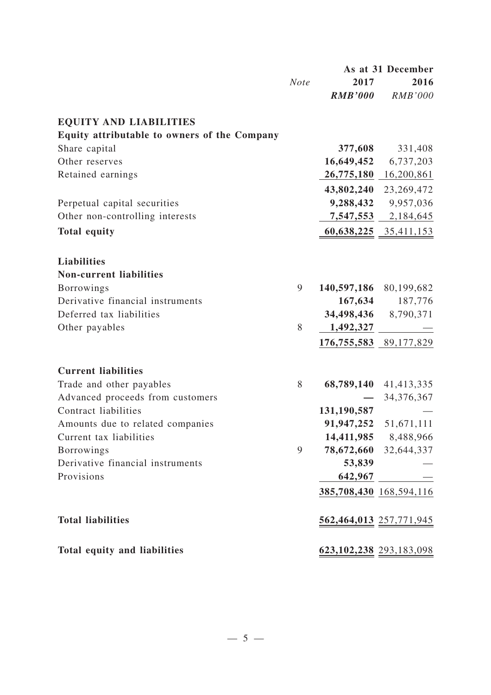|                                                      |             | As at 31 December |                             |
|------------------------------------------------------|-------------|-------------------|-----------------------------|
|                                                      | <b>Note</b> | 2017              | 2016                        |
|                                                      |             | <b>RMB'000</b>    | <b>RMB'000</b>              |
| <b>EQUITY AND LIABILITIES</b>                        |             |                   |                             |
| Equity attributable to owners of the Company         |             |                   |                             |
| Share capital                                        |             | 377,608           | 331,408                     |
| Other reserves                                       |             | 16,649,452        | 6,737,203                   |
| Retained earnings                                    |             |                   | 26,775,180 16,200,861       |
|                                                      |             |                   | 43,802,240 23,269,472       |
| Perpetual capital securities                         |             | 9,288,432         | 9,957,036                   |
| Other non-controlling interests                      |             |                   | 7,547,553 2,184,645         |
| <b>Total equity</b>                                  |             |                   | 60,638,225 35,411,153       |
|                                                      |             |                   |                             |
| <b>Liabilities</b><br><b>Non-current liabilities</b> |             |                   |                             |
| Borrowings                                           | 9           |                   | 140,597,186 80,199,682      |
| Derivative financial instruments                     |             | 167,634           | 187,776                     |
| Deferred tax liabilities                             |             |                   | 34,498,436 8,790,371        |
|                                                      | 8           |                   |                             |
| Other payables                                       |             | 1,492,327         |                             |
|                                                      |             |                   | 176,755,583 89,177,829      |
| <b>Current liabilities</b>                           |             |                   |                             |
| Trade and other payables                             | 8           |                   | 68,789,140 41,413,335       |
| Advanced proceeds from customers                     |             |                   | 34,376,367                  |
| Contract liabilities                                 |             | 131,190,587       |                             |
| Amounts due to related companies                     |             |                   | 91,947,252 51,671,111       |
| Current tax liabilities                              |             |                   | 14,411,985 8,488,966        |
| <b>Borrowings</b>                                    | 9           |                   | 78,672,660 32,644,337       |
| Derivative financial instruments                     |             | 53,839            |                             |
| Provisions                                           |             | 642,967           |                             |
|                                                      |             |                   | 385,708,430 168,594,116     |
| <b>Total liabilities</b>                             |             |                   | 562,464,013 257,771,945     |
| Total equity and liabilities                         |             |                   | 623, 102, 238 293, 183, 098 |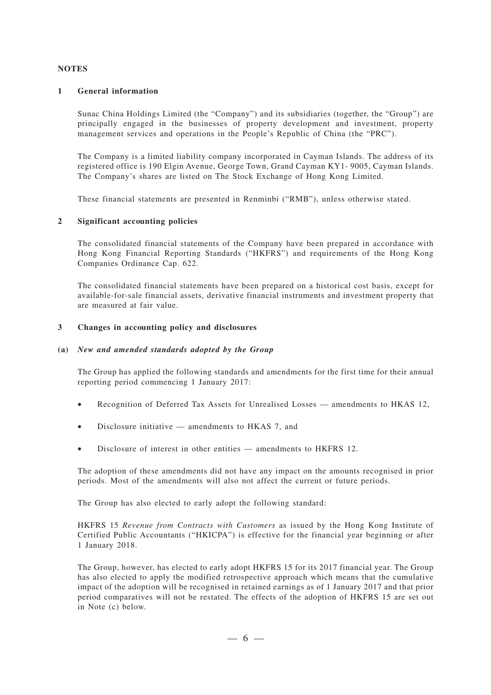#### **NOTES**

#### **1 General information**

Sunac China Holdings Limited (the "Company") and its subsidiaries (together, the "Group") are principally engaged in the businesses of property development and investment, property management services and operations in the People's Republic of China (the "PRC").

The Company is a limited liability company incorporated in Cayman Islands. The address of its registered office is 190 Elgin Avenue, George Town, Grand Cayman KY1- 9005, Cayman Islands. The Company's shares are listed on The Stock Exchange of Hong Kong Limited.

These financial statements are presented in Renminbi ("RMB"), unless otherwise stated.

#### **2 Significant accounting policies**

The consolidated financial statements of the Company have been prepared in accordance with Hong Kong Financial Reporting Standards ("HKFRS") and requirements of the Hong Kong Companies Ordinance Cap. 622.

The consolidated financial statements have been prepared on a historical cost basis, except for available-for-sale financial assets, derivative financial instruments and investment property that are measured at fair value.

#### **3 Changes in accounting policy and disclosures**

#### **(a)** *New and amended standards adopted by the Group*

The Group has applied the following standards and amendments for the first time for their annual reporting period commencing 1 January 2017:

- Recognition of Deferred Tax Assets for Unrealised Losses amendments to HKAS 12,
- Disclosure initiative  $-$  amendments to HKAS 7, and
- Disclosure of interest in other entities amendments to HKFRS 12.

The adoption of these amendments did not have any impact on the amounts recognised in prior periods. Most of the amendments will also not affect the current or future periods.

The Group has also elected to early adopt the following standard:

HKFRS 15 *Revenue from Contracts with Customers* as issued by the Hong Kong Institute of Certified Public Accountants ("HKICPA") is effective for the financial year beginning or after 1 January 2018.

The Group, however, has elected to early adopt HKFRS 15 for its 2017 financial year. The Group has also elected to apply the modified retrospective approach which means that the cumulative impact of the adoption will be recognised in retained earnings as of 1 January 2017 and that prior period comparatives will not be restated. The effects of the adoption of HKFRS 15 are set out in Note (c) below.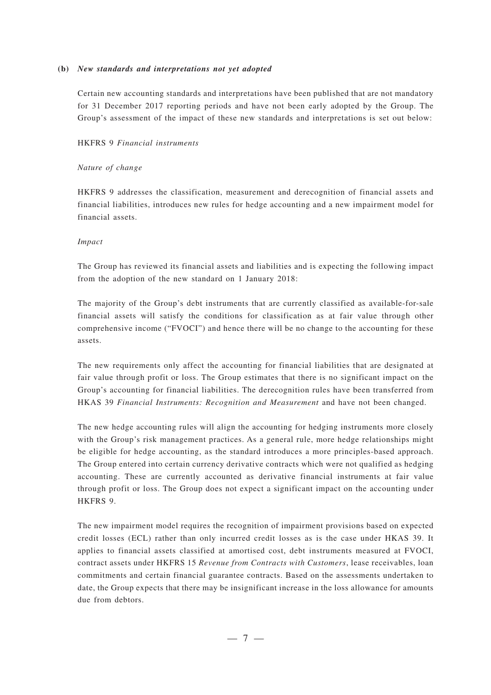#### **(b)** *New standards and interpretations not yet adopted*

Certain new accounting standards and interpretations have been published that are not mandatory for 31 December 2017 reporting periods and have not been early adopted by the Group. The Group's assessment of the impact of these new standards and interpretations is set out below:

#### HKFRS 9 *Financial instruments*

#### *Nature of change*

HKFRS 9 addresses the classification, measurement and derecognition of financial assets and financial liabilities, introduces new rules for hedge accounting and a new impairment model for financial assets.

#### *Impact*

The Group has reviewed its financial assets and liabilities and is expecting the following impact from the adoption of the new standard on 1 January 2018:

The majority of the Group's debt instruments that are currently classified as available-for-sale financial assets will satisfy the conditions for classification as at fair value through other comprehensive income ("FVOCI") and hence there will be no change to the accounting for these assets.

The new requirements only affect the accounting for financial liabilities that are designated at fair value through profit or loss. The Group estimates that there is no significant impact on the Group's accounting for financial liabilities. The derecognition rules have been transferred from HKAS 39 *Financial Instruments: Recognition and Measurement* and have not been changed.

The new hedge accounting rules will align the accounting for hedging instruments more closely with the Group's risk management practices. As a general rule, more hedge relationships might be eligible for hedge accounting, as the standard introduces a more principles-based approach. The Group entered into certain currency derivative contracts which were not qualified as hedging accounting. These are currently accounted as derivative financial instruments at fair value through profit or loss. The Group does not expect a significant impact on the accounting under HKFRS 9.

The new impairment model requires the recognition of impairment provisions based on expected credit losses (ECL) rather than only incurred credit losses as is the case under HKAS 39. It applies to financial assets classified at amortised cost, debt instruments measured at FVOCI, contract assets under HKFRS 15 *Revenue from Contracts with Customers*, lease receivables, loan commitments and certain financial guarantee contracts. Based on the assessments undertaken to date, the Group expects that there may be insignificant increase in the loss allowance for amounts due from debtors.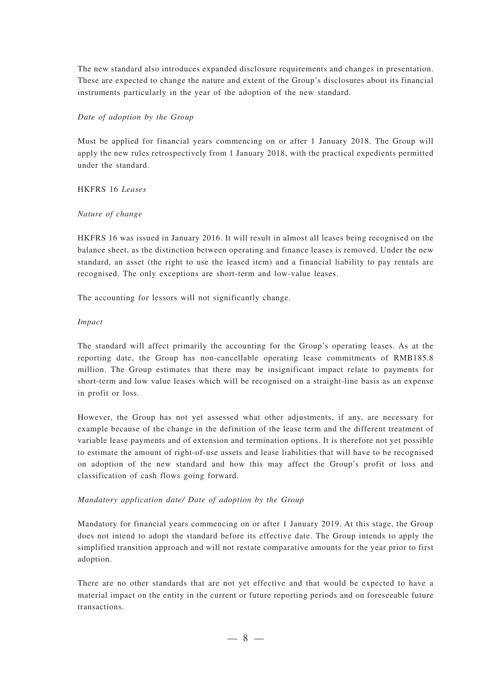The new standard also introduces expanded disclosure requirements and changes in presentation. These are expected to change the nature and extent of the Group's disclosures about its financial instruments particularly in the year of the adoption of the new standard.

#### *Date of adoption by the Group*

Must be applied for financial years commencing on or after 1 January 2018. The Group will apply the new rules retrospectively from 1 January 2018, with the practical expedients permitted under the standard.

HKFRS 16 *Leases*

#### *Nature of change*

HKFRS 16 was issued in January 2016. It will result in almost all leases being recognised on the balance sheet, as the distinction between operating and finance leases is removed. Under the new standard, an asset (the right to use the leased item) and a financial liability to pay rentals are recognised. The only exceptions are short-term and low-value leases.

The accounting for lessors will not significantly change.

#### *Impact*

The standard will affect primarily the accounting for the Group's operating leases. As at the reporting date, the Group has non-cancellable operating lease commitments of RMB185.8 million. The Group estimates that there may be insignificant impact relate to payments for short-term and low value leases which will be recognised on a straight-line basis as an expense in profit or loss.

However, the Group has not yet assessed what other adjustments, if any, are necessary for example because of the change in the definition of the lease term and the different treatment of variable lease payments and of extension and termination options. It is therefore not yet possible to estimate the amount of right-of-use assets and lease liabilities that will have to be recognised on adoption of the new standard and how this may affect the Group's profit or loss and classification of cash flows going forward.

#### *Mandatory application date/ Date of adoption by the Group*

Mandatory for financial years commencing on or after 1 January 2019. At this stage, the Group does not intend to adopt the standard before its effective date. The Group intends to apply the simplified transition approach and will not restate comparative amounts for the year prior to first adoption.

There are no other standards that are not yet effective and that would be expected to have a material impact on the entity in the current or future reporting periods and on foreseeable future transactions.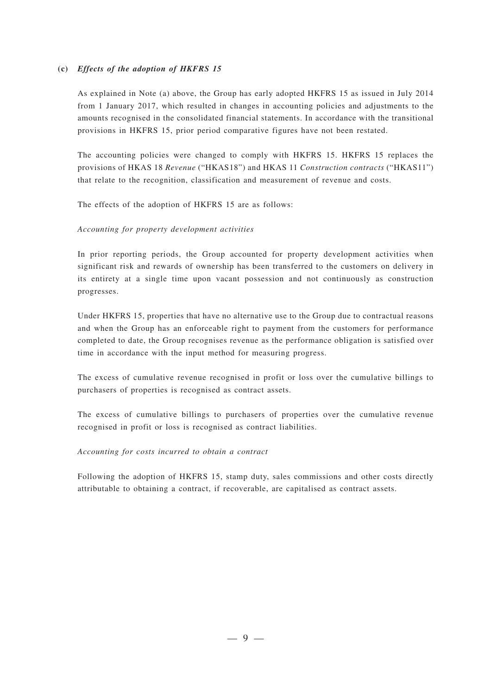#### **(c)** *Effects of the adoption of HKFRS 15*

As explained in Note (a) above, the Group has early adopted HKFRS 15 as issued in July 2014 from 1 January 2017, which resulted in changes in accounting policies and adjustments to the amounts recognised in the consolidated financial statements. In accordance with the transitional provisions in HKFRS 15, prior period comparative figures have not been restated.

The accounting policies were changed to comply with HKFRS 15. HKFRS 15 replaces the provisions of HKAS 18 *Revenue* ("HKAS18") and HKAS 11 *Construction contracts* ("HKAS11") that relate to the recognition, classification and measurement of revenue and costs.

The effects of the adoption of HKFRS 15 are as follows:

#### *Accounting for property development activities*

In prior reporting periods, the Group accounted for property development activities when significant risk and rewards of ownership has been transferred to the customers on delivery in its entirety at a single time upon vacant possession and not continuously as construction progresses.

Under HKFRS 15, properties that have no alternative use to the Group due to contractual reasons and when the Group has an enforceable right to payment from the customers for performance completed to date, the Group recognises revenue as the performance obligation is satisfied over time in accordance with the input method for measuring progress.

The excess of cumulative revenue recognised in profit or loss over the cumulative billings to purchasers of properties is recognised as contract assets.

The excess of cumulative billings to purchasers of properties over the cumulative revenue recognised in profit or loss is recognised as contract liabilities.

#### *Accounting for costs incurred to obtain a contract*

Following the adoption of HKFRS 15, stamp duty, sales commissions and other costs directly attributable to obtaining a contract, if recoverable, are capitalised as contract assets.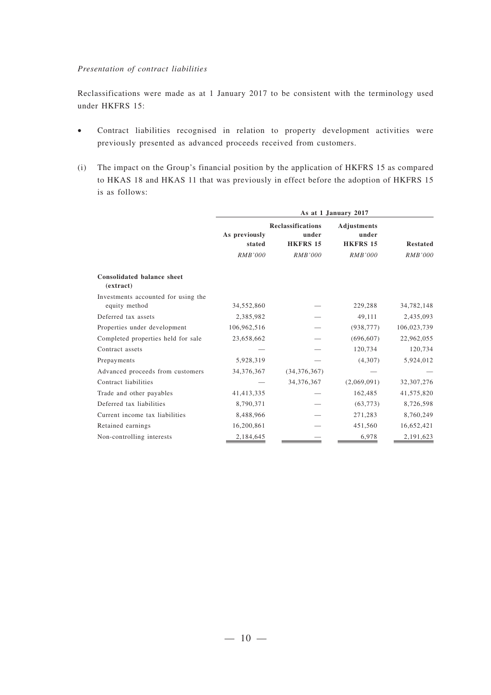#### *Presentation of contract liabilities*

Reclassifications were made as at 1 January 2017 to be consistent with the terminology used under HKFRS 15:

- Contract liabilities recognised in relation to property development activities were previously presented as advanced proceeds received from customers.
- (i) The impact on the Group's financial position by the application of HKFRS 15 as compared to HKAS 18 and HKAS 11 that was previously in effect before the adoption of HKFRS 15 is as follows:

|                                                      | As at 1 January 2017    |                                                      |                                         |                 |
|------------------------------------------------------|-------------------------|------------------------------------------------------|-----------------------------------------|-----------------|
|                                                      | As previously<br>stated | <b>Reclassifications</b><br>under<br><b>HKFRS 15</b> | Adjustments<br>under<br><b>HKFRS 15</b> | <b>Restated</b> |
|                                                      | RMB'000                 | <b>RMB'000</b>                                       | RMB'000                                 | RMB'000         |
| <b>Consolidated balance sheet</b><br>(extract)       |                         |                                                      |                                         |                 |
| Investments accounted for using the<br>equity method | 34,552,860              |                                                      | 229,288                                 | 34,782,148      |
| Deferred tax assets                                  | 2,385,982               |                                                      | 49,111                                  | 2,435,093       |
| Properties under development                         | 106,962,516             |                                                      | (938, 777)                              | 106,023,739     |
| Completed properties held for sale                   | 23,658,662              |                                                      | (696, 607)                              | 22,962,055      |
| Contract assets                                      |                         |                                                      | 120,734                                 | 120,734         |
| Prepayments                                          | 5,928,319               |                                                      | (4,307)                                 | 5,924,012       |
| Advanced proceeds from customers                     | 34,376,367              | (34, 376, 367)                                       |                                         |                 |
| Contract liabilities                                 |                         | 34,376,367                                           | (2,069,091)                             | 32,307,276      |
| Trade and other payables                             | 41,413,335              |                                                      | 162,485                                 | 41,575,820      |
| Deferred tax liabilities                             | 8,790,371               |                                                      | (63, 773)                               | 8,726,598       |
| Current income tax liabilities                       | 8,488,966               |                                                      | 271,283                                 | 8,760,249       |
| Retained earnings                                    | 16,200,861              |                                                      | 451,560                                 | 16,652,421      |
| Non-controlling interests                            | 2,184,645               |                                                      | 6,978                                   | 2,191,623       |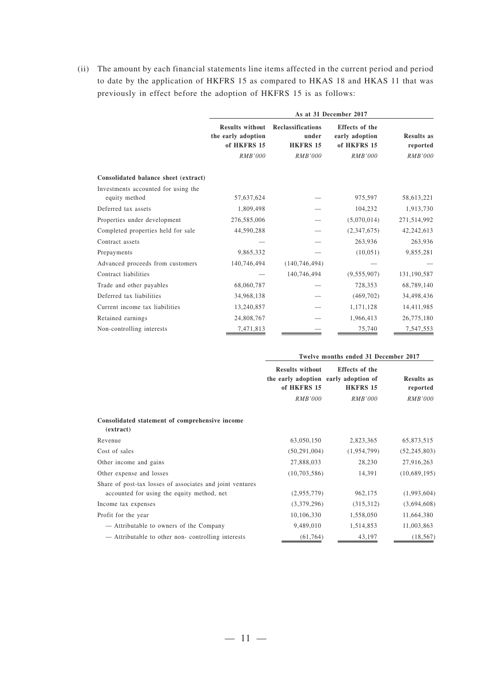(ii) The amount by each financial statements line items affected in the current period and period to date by the application of HKFRS 15 as compared to HKAS 18 and HKAS 11 that was previously in effect before the adoption of HKFRS 15 is as follows:

|                                      | As at 31 December 2017                                      |                                               |                                                 |                               |
|--------------------------------------|-------------------------------------------------------------|-----------------------------------------------|-------------------------------------------------|-------------------------------|
|                                      | <b>Results without</b><br>the early adoption<br>of HKFRS 15 | Reclassifications<br>under<br><b>HKFRS 15</b> | Effects of the<br>early adoption<br>of HKFRS 15 | <b>Results as</b><br>reported |
|                                      | <b>RMB'000</b>                                              | <b>RMB'000</b>                                | <b>RMB'000</b>                                  | RMB'000                       |
| Consolidated balance sheet (extract) |                                                             |                                               |                                                 |                               |
| Investments accounted for using the  |                                                             |                                               |                                                 |                               |
| equity method                        | 57,637,624                                                  |                                               | 975,597                                         | 58,613,221                    |
| Deferred tax assets                  | 1,809,498                                                   |                                               | 104,232                                         | 1,913,730                     |
| Properties under development         | 276,585,006                                                 |                                               | (5,070,014)                                     | 271,514,992                   |
| Completed properties held for sale   | 44,590,288                                                  |                                               | (2,347,675)                                     | 42, 242, 613                  |
| Contract assets                      |                                                             |                                               | 263,936                                         | 263,936                       |
| Prepayments                          | 9,865,332                                                   |                                               | (10, 051)                                       | 9,855,281                     |
| Advanced proceeds from customers     | 140,746,494                                                 | (140, 746, 494)                               |                                                 |                               |
| Contract liabilities                 |                                                             | 140,746,494                                   | (9, 555, 907)                                   | 131,190,587                   |
| Trade and other payables             | 68,060,787                                                  |                                               | 728,353                                         | 68,789,140                    |
| Deferred tax liabilities             | 34,968,138                                                  |                                               | (469, 702)                                      | 34,498,436                    |
| Current income tax liabilities       | 13,240,857                                                  |                                               | 1,171,128                                       | 14,411,985                    |
| Retained earnings                    | 24,808,767                                                  |                                               | 1,966,413                                       | 26,775,180                    |
| Non-controlling interests            | 7,471,813                                                   |                                               | 75,740                                          | 7,547,553                     |

|                                                             | Twelve months ended 31 December 2017  |                                                                           |                               |  |
|-------------------------------------------------------------|---------------------------------------|---------------------------------------------------------------------------|-------------------------------|--|
|                                                             | <b>Results without</b><br>of HKFRS 15 | Effects of the<br>the early adoption early adoption of<br><b>HKFRS 15</b> | <b>Results as</b><br>reported |  |
|                                                             | <i>RMB'000</i>                        | <i>RMB'000</i>                                                            | RMB'000                       |  |
| Consolidated statement of comprehensive income<br>(extract) |                                       |                                                                           |                               |  |
| Revenue                                                     | 63,050,150                            | 2,823,365                                                                 | 65,873,515                    |  |
| Cost of sales                                               | (50, 291, 004)                        | (1,954,799)                                                               | (52, 245, 803)                |  |
| Other income and gains                                      | 27,888,033                            | 28,230                                                                    | 27,916,263                    |  |
| Other expense and losses                                    | (10, 703, 586)                        | 14,391                                                                    | (10,689,195)                  |  |
| Share of post-tax losses of associates and joint ventures   |                                       |                                                                           |                               |  |
| accounted for using the equity method, net                  | (2,955,779)                           | 962,175                                                                   | (1,993,604)                   |  |
| Income tax expenses                                         | (3,379,296)                           | (315,312)                                                                 | (3,694,608)                   |  |
| Profit for the year                                         | 10,106,330                            | 1,558,050                                                                 | 11,664,380                    |  |
| — Attributable to owners of the Company                     | 9,489,010                             | 1,514,853                                                                 | 11,003,863                    |  |
| - Attributable to other non-controlling interests           | (61, 764)                             | 43,197                                                                    | (18, 567)                     |  |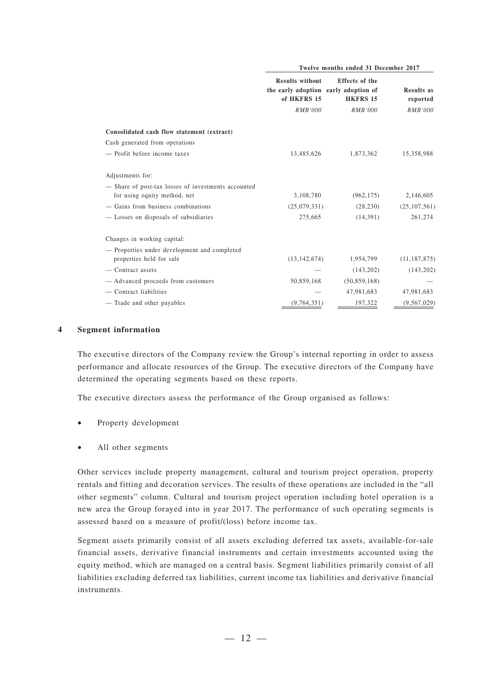|                                                     | Twelve months ended 31 December 2017  |                                                                           |                               |
|-----------------------------------------------------|---------------------------------------|---------------------------------------------------------------------------|-------------------------------|
|                                                     | <b>Results without</b><br>of HKFRS 15 | Effects of the<br>the early adoption early adoption of<br><b>HKFRS 15</b> | <b>Results as</b><br>reported |
|                                                     | <b>RMB'000</b>                        | <b>RMB'000</b>                                                            | <i>RMB'000</i>                |
| Consolidated cash flow statement (extract)          |                                       |                                                                           |                               |
| Cash generated from operations                      |                                       |                                                                           |                               |
| - Profit before income taxes                        | 13,485,626                            | 1,873,362                                                                 | 15,358,988                    |
| Adjustments for:                                    |                                       |                                                                           |                               |
| - Share of post-tax losses of investments accounted |                                       |                                                                           |                               |
| for using equity method, net                        | 3,108,780                             | (962, 175)                                                                | 2,146,605                     |
| - Gains from business combinations                  | (25,079,331)                          | (28, 230)                                                                 | (25, 107, 561)                |
| - Losses on disposals of subsidiaries               | 275,665                               | (14, 391)                                                                 | 261,274                       |
| Changes in working capital:                         |                                       |                                                                           |                               |
| - Properties under development and completed        |                                       |                                                                           |                               |
| properties held for sale                            | (13, 142, 674)                        | 1,954,799                                                                 | (11, 187, 875)                |
| - Contract assets                                   |                                       | (143, 202)                                                                | (143, 202)                    |
| — Advanced proceeds from customers                  | 50,859,168                            | (50, 859, 168)                                                            |                               |
| - Contract liabilities                              |                                       | 47,981,683                                                                | 47,981,683                    |
| - Trade and other payables                          | (9,764,351)                           | 197,322                                                                   | (9, 567, 029)                 |

#### **4 Segment information**

The executive directors of the Company review the Group's internal reporting in order to assess performance and allocate resources of the Group. The executive directors of the Company have determined the operating segments based on these reports.

The executive directors assess the performance of the Group organised as follows:

- Property development
- All other segments

Other services include property management, cultural and tourism project operation, property rentals and fitting and decoration services. The results of these operations are included in the "all other segments" column. Cultural and tourism project operation including hotel operation is a new area the Group forayed into in year 2017. The performance of such operating segments is assessed based on a measure of profit/(loss) before income tax.

Segment assets primarily consist of all assets excluding deferred tax assets, available-for-sale financial assets, derivative financial instruments and certain investments accounted using the equity method, which are managed on a central basis. Segment liabilities primarily consist of all liabilities excluding deferred tax liabilities, current income tax liabilities and derivative financial instruments.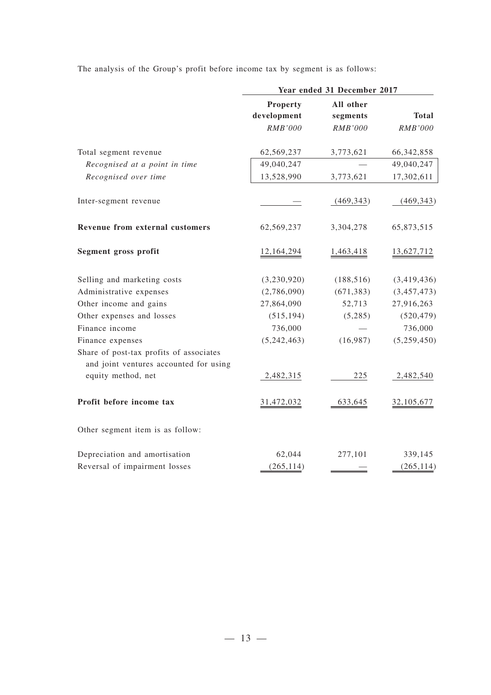The analysis of the Group's profit before income tax by segment is as follows:

|                                                                                   | Year ended 31 December 2017 |                |                |
|-----------------------------------------------------------------------------------|-----------------------------|----------------|----------------|
|                                                                                   | Property                    | All other      |                |
|                                                                                   | development                 | segments       | <b>Total</b>   |
|                                                                                   | <b>RMB'000</b>              | <b>RMB'000</b> | <b>RMB'000</b> |
| Total segment revenue                                                             | 62,569,237                  | 3,773,621      | 66, 342, 858   |
| Recognised at a point in time                                                     | 49,040,247                  |                | 49,040,247     |
| Recognised over time                                                              | 13,528,990                  | 3,773,621      | 17,302,611     |
| Inter-segment revenue                                                             |                             | (469, 343)     | (469, 343)     |
| Revenue from external customers                                                   | 62,569,237                  | 3,304,278      | 65,873,515     |
| Segment gross profit                                                              | 12,164,294                  | 1,463,418      | 13,627,712     |
| Selling and marketing costs                                                       | (3,230,920)                 | (188, 516)     | (3,419,436)    |
| Administrative expenses                                                           | (2,786,090)                 | (671, 383)     | (3,457,473)    |
| Other income and gains                                                            | 27,864,090                  | 52,713         | 27,916,263     |
| Other expenses and losses                                                         | (515, 194)                  | (5,285)        | (520, 479)     |
| Finance income                                                                    | 736,000                     |                | 736,000        |
| Finance expenses                                                                  | (5,242,463)                 | (16,987)       | (5,259,450)    |
| Share of post-tax profits of associates<br>and joint ventures accounted for using |                             |                |                |
| equity method, net                                                                | 2,482,315                   | 225            | 2,482,540      |
| Profit before income tax                                                          | 31,472,032                  | 633,645        | 32,105,677     |
| Other segment item is as follow:                                                  |                             |                |                |
| Depreciation and amortisation                                                     | 62,044                      | 277,101        | 339,145        |
| Reversal of impairment losses                                                     | (265, 114)                  |                | (265, 114)     |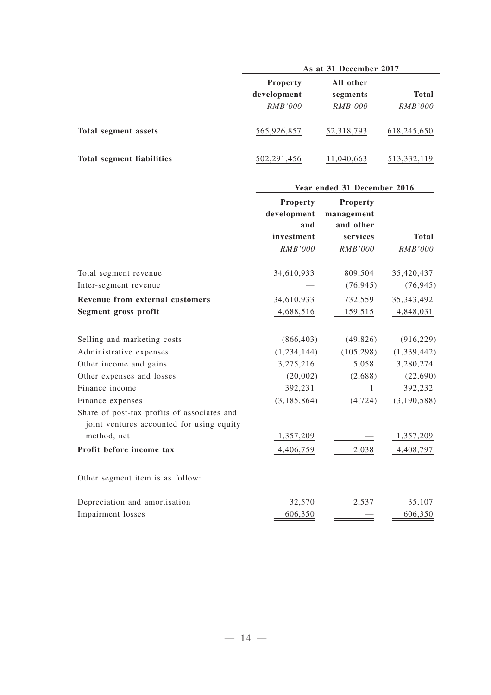|                                  | As at 31 December 2017                    |                                  |                                |  |
|----------------------------------|-------------------------------------------|----------------------------------|--------------------------------|--|
|                                  | <b>Property</b><br>development<br>RMB'000 | All other<br>segments<br>RMB'000 | <b>Total</b><br><i>RMB'000</i> |  |
| Total segment assets             | 565,926,857                               | 52,318,793                       | 618,245,650                    |  |
| <b>Total segment liabilities</b> | 502, 291, 456                             | 11,040,663                       | 513, 332, 119                  |  |

## **Year ended 31 December 2016**

|                                                                                          | Property       | Property       |                |
|------------------------------------------------------------------------------------------|----------------|----------------|----------------|
|                                                                                          | development    | management     |                |
|                                                                                          | and            | and other      |                |
|                                                                                          | investment     | services       | <b>Total</b>   |
|                                                                                          | <b>RMB'000</b> | <b>RMB'000</b> | <b>RMB'000</b> |
| Total segment revenue                                                                    | 34,610,933     | 809,504        | 35,420,437     |
| Inter-segment revenue                                                                    |                | (76, 945)      | (76, 945)      |
| Revenue from external customers                                                          | 34,610,933     | 732,559        | 35, 343, 492   |
| Segment gross profit                                                                     | 4,688,516      | 159,515        | 4,848,031      |
| Selling and marketing costs                                                              | (866, 403)     | (49, 826)      | (916, 229)     |
| Administrative expenses                                                                  | (1,234,144)    | (105, 298)     | (1,339,442)    |
| Other income and gains                                                                   | 3,275,216      | 5,058          | 3,280,274      |
| Other expenses and losses                                                                | (20,002)       | (2,688)        | (22,690)       |
| Finance income                                                                           | 392,231        | 1              | 392,232        |
| Finance expenses                                                                         | (3, 185, 864)  | (4, 724)       | (3, 190, 588)  |
| Share of post-tax profits of associates and<br>joint ventures accounted for using equity |                |                |                |
| method, net                                                                              | 1,357,209      |                | 1,357,209      |
| Profit before income tax                                                                 | 4,406,759      | 2,038          | 4,408,797      |
| Other segment item is as follow:                                                         |                |                |                |
| Depreciation and amortisation                                                            | 32,570         | 2,537          | 35,107         |
| Impairment losses                                                                        | 606,350        |                | 606,350        |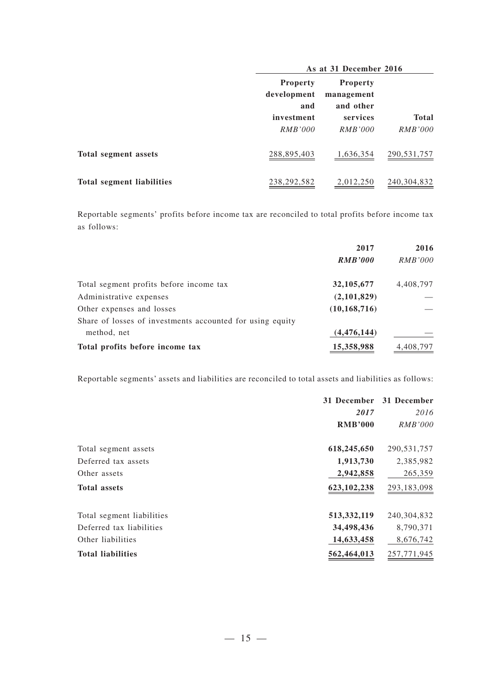|                                  | As at 31 December 2016                |                                            |                         |  |
|----------------------------------|---------------------------------------|--------------------------------------------|-------------------------|--|
|                                  | <b>Property</b><br>development<br>and | <b>Property</b><br>management<br>and other |                         |  |
|                                  | investment<br>RMB'000                 | services<br>RMB'000                        | Total<br><i>RMB'000</i> |  |
| Total segment assets             | 288,895,403                           | 1,636,354                                  | 290, 531, 757           |  |
| <b>Total segment liabilities</b> | 238, 292, 582                         | 2,012,250                                  | 240, 304, 832           |  |

Reportable segments' profits before income tax are reconciled to total profits before income tax as follows:

|                                                           | 2017           | 2016           |
|-----------------------------------------------------------|----------------|----------------|
|                                                           | <b>RMB'000</b> | <i>RMB'000</i> |
| Total segment profits before income tax                   | 32, 105, 677   | 4,408,797      |
| Administrative expenses                                   | (2,101,829)    |                |
| Other expenses and losses                                 | (10, 168, 716) |                |
| Share of losses of investments accounted for using equity |                |                |
| method, net                                               | (4, 476, 144)  |                |
| Total profits before income tax                           | 15,358,988     | 4,408,797      |

Reportable segments' assets and liabilities are reconciled to total assets and liabilities as follows:

|                           | 31 December    | 31 December    |
|---------------------------|----------------|----------------|
|                           | 2017           | 2016           |
|                           | <b>RMB'000</b> | <i>RMB'000</i> |
| Total segment assets      | 618,245,650    | 290, 531, 757  |
| Deferred tax assets       | 1,913,730      | 2,385,982      |
| Other assets              | 2,942,858      | 265,359        |
| <b>Total assets</b>       | 623, 102, 238  | 293,183,098    |
| Total segment liabilities | 513, 332, 119  | 240,304,832    |
| Deferred tax liabilities  | 34,498,436     | 8,790,371      |
| Other liabilities         | 14,633,458     | 8,676,742      |
| <b>Total liabilities</b>  | 562,464,013    | 257, 771, 945  |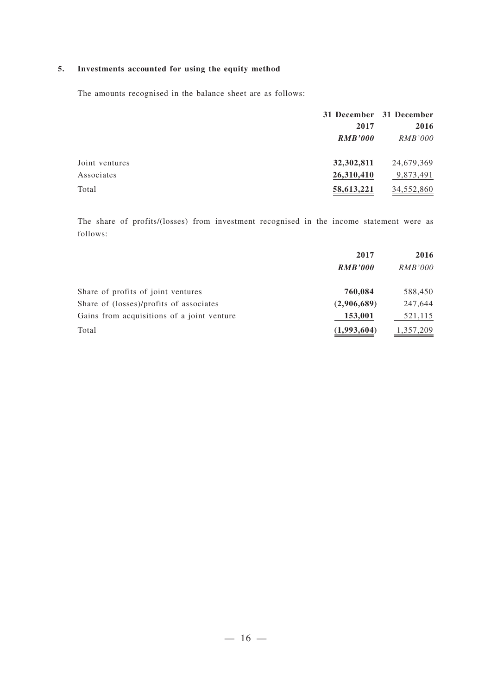### **5. Investments accounted for using the equity method**

The amounts recognised in the balance sheet are as follows:

|                |                | 31 December 31 December |
|----------------|----------------|-------------------------|
|                | 2017           | 2016                    |
|                | <b>RMB'000</b> | <i>RMB'000</i>          |
| Joint ventures | 32,302,811     | 24,679,369              |
| Associates     | 26,310,410     | 9,873,491               |
| Total          | 58,613,221     | 34,552,860              |

The share of profits/(losses) from investment recognised in the income statement were as follows:

|                                            | 2017           | 2016           |
|--------------------------------------------|----------------|----------------|
|                                            | <b>RMB'000</b> | <i>RMB'000</i> |
| Share of profits of joint ventures         | 760,084        | 588,450        |
| Share of (losses)/profits of associates    | (2,906,689)    | 247,644        |
| Gains from acquisitions of a joint venture | 153,001        | 521,115        |
| Total                                      | (1,993,604)    | 1,357,209      |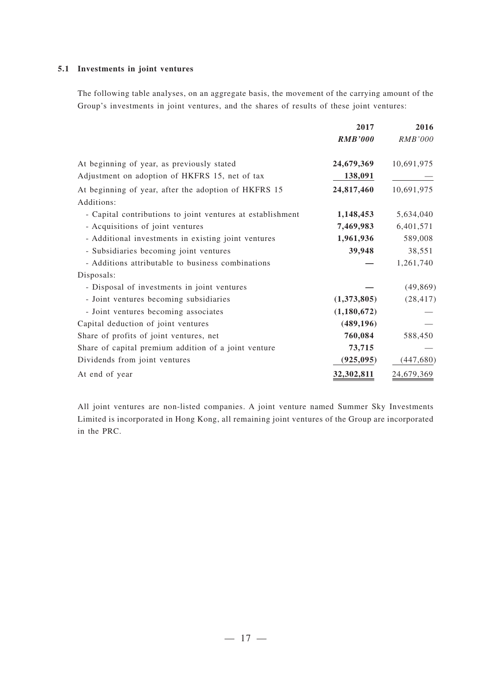### **5.1 Investments in joint ventures**

The following table analyses, on an aggregate basis, the movement of the carrying amount of the Group's investments in joint ventures, and the shares of results of these joint ventures:

|                                                                    | 2017           | 2016           |
|--------------------------------------------------------------------|----------------|----------------|
|                                                                    | <b>RMB'000</b> | <i>RMB'000</i> |
| At beginning of year, as previously stated                         | 24,679,369     | 10,691,975     |
| Adjustment on adoption of HKFRS 15, net of tax                     | 138,091        |                |
| At beginning of year, after the adoption of HKFRS 15<br>Additions: | 24,817,460     | 10,691,975     |
| - Capital contributions to joint ventures at establishment         | 1,148,453      | 5,634,040      |
| - Acquisitions of joint ventures                                   | 7,469,983      | 6,401,571      |
| - Additional investments in existing joint ventures                | 1,961,936      | 589,008        |
| - Subsidiaries becoming joint ventures                             | 39,948         | 38,551         |
| - Additions attributable to business combinations                  |                | 1,261,740      |
| Disposals:                                                         |                |                |
| - Disposal of investments in joint ventures                        |                | (49, 869)      |
| - Joint ventures becoming subsidiaries                             | (1,373,805)    | (28, 417)      |
| - Joint ventures becoming associates                               | (1,180,672)    |                |
| Capital deduction of joint ventures                                | (489, 196)     |                |
| Share of profits of joint ventures, net                            | 760,084        | 588,450        |
| Share of capital premium addition of a joint venture               | 73,715         |                |
| Dividends from joint ventures                                      | (925, 095)     | (447, 680)     |
| At end of year                                                     | 32,302,811     | 24,679,369     |

All joint ventures are non-listed companies. A joint venture named Summer Sky Investments Limited is incorporated in Hong Kong, all remaining joint ventures of the Group are incorporated in the PRC.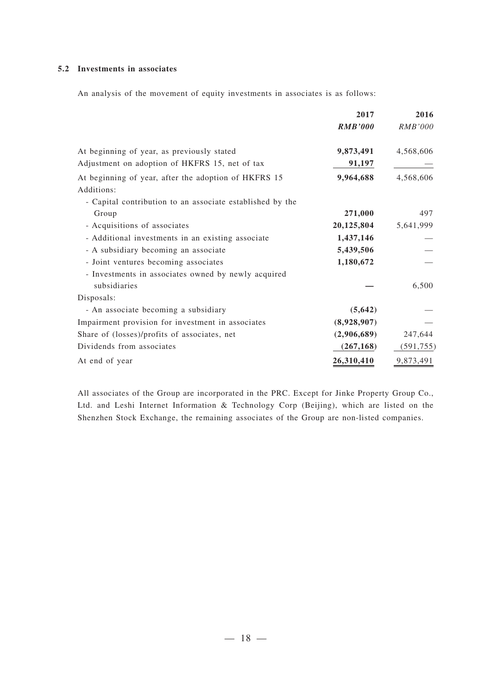### **5.2 Investments in associates**

An analysis of the movement of equity investments in associates is as follows:

|                                                                     | 2017           | 2016       |
|---------------------------------------------------------------------|----------------|------------|
|                                                                     | <b>RMB'000</b> | RMB'000    |
| At beginning of year, as previously stated                          | 9,873,491      | 4,568,606  |
| Adjustment on adoption of HKFRS 15, net of tax                      | <u>91,197</u>  |            |
| At beginning of year, after the adoption of HKFRS 15<br>Additions:  | 9,964,688      | 4,568,606  |
| - Capital contribution to an associate established by the           |                |            |
| Group                                                               | 271,000        | 497        |
| - Acquisitions of associates                                        | 20,125,804     | 5,641,999  |
| - Additional investments in an existing associate                   | 1,437,146      |            |
| - A subsidiary becoming an associate                                | 5,439,506      |            |
| - Joint ventures becoming associates                                | 1,180,672      |            |
| - Investments in associates owned by newly acquired<br>subsidiaries |                | 6,500      |
| Disposals:                                                          |                |            |
| - An associate becoming a subsidiary                                | (5, 642)       |            |
| Impairment provision for investment in associates                   | (8,928,907)    |            |
| Share of (losses)/profits of associates, net                        | (2,906,689)    | 247,644    |
| Dividends from associates                                           | (267, 168)     | (591, 755) |
| At end of year                                                      | 26,310,410     | 9,873,491  |

All associates of the Group are incorporated in the PRC. Except for Jinke Property Group Co., Ltd. and Leshi Internet Information & Technology Corp (Beijing), which are listed on the Shenzhen Stock Exchange, the remaining associates of the Group are non-listed companies.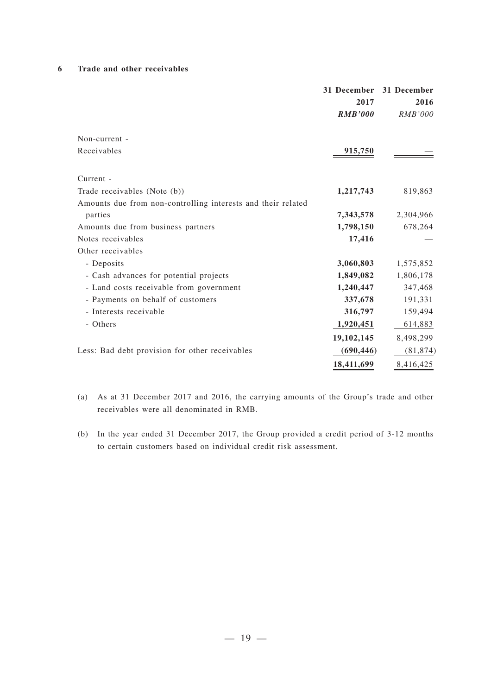### **6 Trade and other receivables**

|                                                              | 2017<br><b>RMB'000</b> | 31 December 31 December<br>2016<br><b>RMB'000</b> |
|--------------------------------------------------------------|------------------------|---------------------------------------------------|
| Non-current -                                                |                        |                                                   |
| Receivables                                                  | 915,750                |                                                   |
| Current -                                                    |                        |                                                   |
| Trade receivables (Note (b))                                 | 1,217,743              | 819,863                                           |
| Amounts due from non-controlling interests and their related |                        |                                                   |
| parties                                                      | 7,343,578              | 2,304,966                                         |
| Amounts due from business partners                           | 1,798,150              | 678,264                                           |
| Notes receivables                                            | 17,416                 |                                                   |
| Other receivables                                            |                        |                                                   |
| - Deposits                                                   | 3,060,803              | 1,575,852                                         |
| - Cash advances for potential projects                       | 1,849,082              | 1,806,178                                         |
| - Land costs receivable from government                      | 1,240,447              | 347,468                                           |
| - Payments on behalf of customers                            | 337,678                | 191,331                                           |
| - Interests receivable                                       | 316,797                | 159,494                                           |
| - Others                                                     | 1,920,451              | 614,883                                           |
|                                                              | 19, 102, 145           | 8,498,299                                         |
| Less: Bad debt provision for other receivables               | (690, 446)             | (81, 874)                                         |
|                                                              | 18,411,699             | 8,416,425                                         |

- (a) As at 31 December 2017 and 2016, the carrying amounts of the Group's trade and other receivables were all denominated in RMB.
- (b) In the year ended 31 December 2017, the Group provided a credit period of 3-12 months to certain customers based on individual credit risk assessment.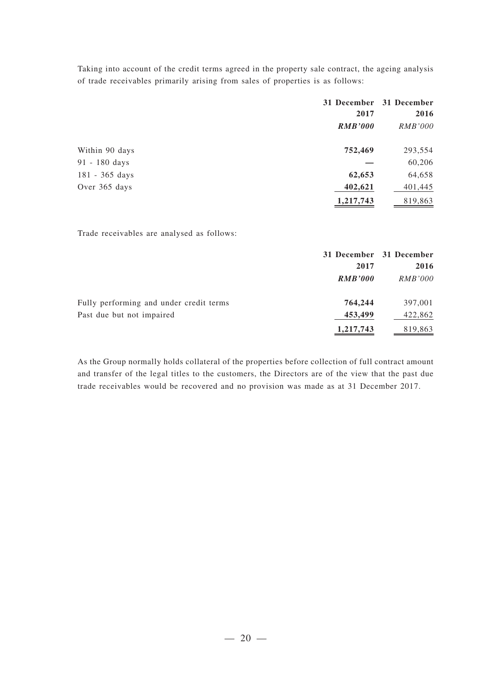Taking into account of the credit terms agreed in the property sale contract, the ageing analysis of trade receivables primarily arising from sales of properties is as follows:

|                | 2017           | 31 December 31 December<br>2016 |
|----------------|----------------|---------------------------------|
|                | <b>RMB'000</b> | <i>RMB'000</i>                  |
| Within 90 days | 752,469        | 293,554                         |
| 91 - 180 days  |                | 60,206                          |
| 181 - 365 days | 62,653         | 64,658                          |
| Over 365 days  | 402,621        | 401,445                         |
|                | 1,217,743      | 819,863                         |

Trade receivables are analysed as follows:

|                                         |                | 31 December 31 December |
|-----------------------------------------|----------------|-------------------------|
|                                         | 2017           | 2016                    |
|                                         | <b>RMB'000</b> | <i>RMB'000</i>          |
| Fully performing and under credit terms | 764,244        | 397,001                 |
| Past due but not impaired               | 453,499        | 422,862                 |
|                                         | 1,217,743      | 819,863                 |

As the Group normally holds collateral of the properties before collection of full contract amount and transfer of the legal titles to the customers, the Directors are of the view that the past due trade receivables would be recovered and no provision was made as at 31 December 2017.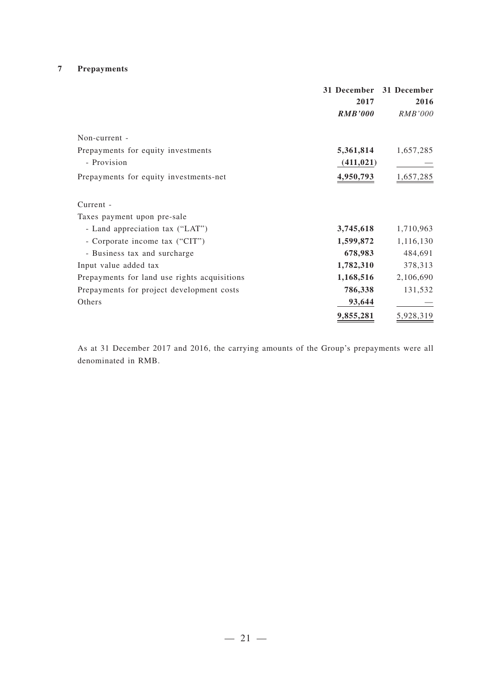### **7 Prepayments**

|                                              |                | 31 December 31 December |
|----------------------------------------------|----------------|-------------------------|
|                                              | 2017           | 2016                    |
|                                              | <b>RMB'000</b> | <i>RMB'000</i>          |
| Non-current -                                |                |                         |
| Prepayments for equity investments           | 5,361,814      | 1,657,285               |
| - Provision                                  | (411, 021)     |                         |
| Prepayments for equity investments-net       | 4,950,793      | 1,657,285               |
| Current -                                    |                |                         |
| Taxes payment upon pre-sale                  |                |                         |
| - Land appreciation tax ("LAT")              | 3,745,618      | 1,710,963               |
| - Corporate income tax ("CIT")               | 1,599,872      | 1,116,130               |
| - Business tax and surcharge                 | 678,983        | 484,691                 |
| Input value added tax                        | 1,782,310      | 378,313                 |
| Prepayments for land use rights acquisitions | 1,168,516      | 2,106,690               |
| Prepayments for project development costs    | 786,338        | 131,532                 |
| Others                                       | 93,644         |                         |
|                                              | 9,855,281      | 5,928,319               |

As at 31 December 2017 and 2016, the carrying amounts of the Group's prepayments were all denominated in RMB.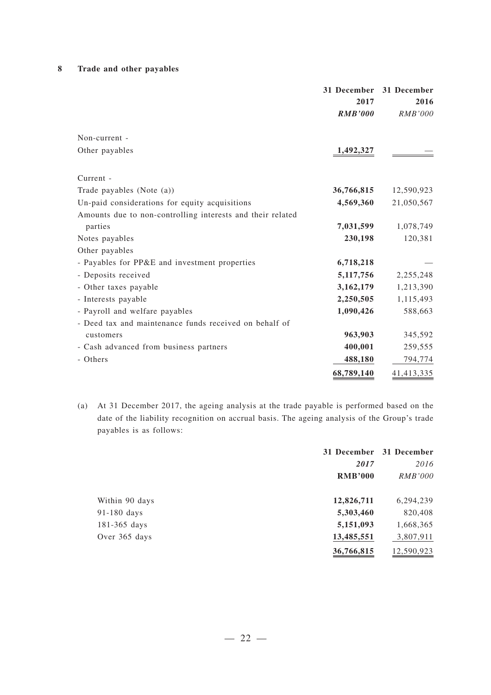### **8 Trade and other payables**

|                                                            | 2017<br><b>RMB'000</b> | 31 December 31 December<br>2016<br><i>RMB'000</i> |
|------------------------------------------------------------|------------------------|---------------------------------------------------|
| Non-current -                                              |                        |                                                   |
| Other payables                                             | 1,492,327              |                                                   |
| Current -                                                  |                        |                                                   |
| Trade payables (Note $(a)$ )                               | 36,766,815             | 12,590,923                                        |
| Un-paid considerations for equity acquisitions             | 4,569,360              | 21,050,567                                        |
| Amounts due to non-controlling interests and their related |                        |                                                   |
| parties                                                    | 7,031,599              | 1,078,749                                         |
| Notes payables                                             | 230,198                | 120,381                                           |
| Other payables                                             |                        |                                                   |
| - Payables for PP&E and investment properties              | 6,718,218              |                                                   |
| - Deposits received                                        | 5, 117, 756            | 2,255,248                                         |
| - Other taxes payable                                      | 3,162,179              | 1,213,390                                         |
| - Interests payable                                        | 2,250,505              | 1,115,493                                         |
| - Payroll and welfare payables                             | 1,090,426              | 588,663                                           |
| - Deed tax and maintenance funds received on behalf of     |                        |                                                   |
| customers                                                  | 963,903                | 345,592                                           |
| - Cash advanced from business partners                     | 400,001                | 259,555                                           |
| - Others                                                   | 488,180                | 794,774                                           |
|                                                            | 68,789,140             | 41,413,335                                        |

(a) At 31 December 2017, the ageing analysis at the trade payable is performed based on the date of the liability recognition on accrual basis. The ageing analysis of the Group's trade payables is as follows:

|                  |                | 31 December 31 December |
|------------------|----------------|-------------------------|
|                  | 2017           | 2016                    |
|                  | <b>RMB'000</b> | <i>RMB'000</i>          |
| Within 90 days   | 12,826,711     | 6,294,239               |
| $91-180$ days    | 5,303,460      | 820,408                 |
| $181 - 365$ days | 5,151,093      | 1,668,365               |
| Over 365 days    | 13,485,551     | 3,807,911               |
|                  | 36,766,815     | 12,590,923              |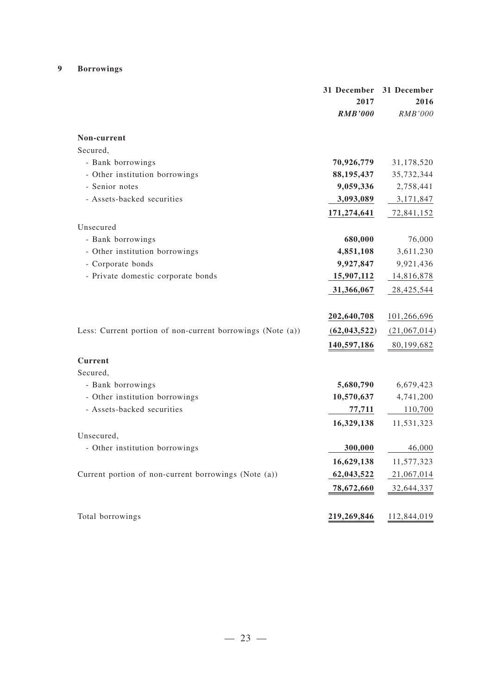### **9 Borrowings**

|                                                            | 31 December<br>2017 | 31 December<br>2016 |
|------------------------------------------------------------|---------------------|---------------------|
|                                                            | <b>RMB'000</b>      | <b>RMB'000</b>      |
| Non-current                                                |                     |                     |
| Secured,                                                   |                     |                     |
| - Bank borrowings                                          | 70,926,779          | 31,178,520          |
| - Other institution borrowings                             | 88, 195, 437        | 35,732,344          |
| - Senior notes                                             | 9,059,336           | 2,758,441           |
| - Assets-backed securities                                 | 3,093,089           | 3,171,847           |
|                                                            | 171,274,641         | 72,841,152          |
| Unsecured                                                  |                     |                     |
| - Bank borrowings                                          | 680,000             | 76,000              |
| - Other institution borrowings                             | 4,851,108           | 3,611,230           |
| - Corporate bonds                                          | 9,927,847           | 9,921,436           |
| - Private domestic corporate bonds                         | 15,907,112          | 14,816,878          |
|                                                            | 31,366,067          | 28,425,544          |
|                                                            | 202,640,708         | 101,266,696         |
| Less: Current portion of non-current borrowings (Note (a)) | (62, 043, 522)      | (21,067,014)        |
|                                                            | 140,597,186         | 80,199,682          |
| <b>Current</b>                                             |                     |                     |
| Secured,                                                   |                     |                     |
| - Bank borrowings                                          | 5,680,790           | 6,679,423           |
| - Other institution borrowings                             | 10,570,637          | 4,741,200           |
| - Assets-backed securities                                 | 77,711              | 110,700             |
|                                                            | 16,329,138          | 11,531,323          |
| Unsecured,                                                 |                     |                     |
| - Other institution borrowings                             | 300,000             | 46,000              |
|                                                            | 16,629,138          | 11,577,323          |
| Current portion of non-current borrowings (Note (a))       | 62,043,522          | 21,067,014          |
|                                                            | 78,672,660          | 32,644,337          |
| Total borrowings                                           | 219,269,846         | 112,844,019         |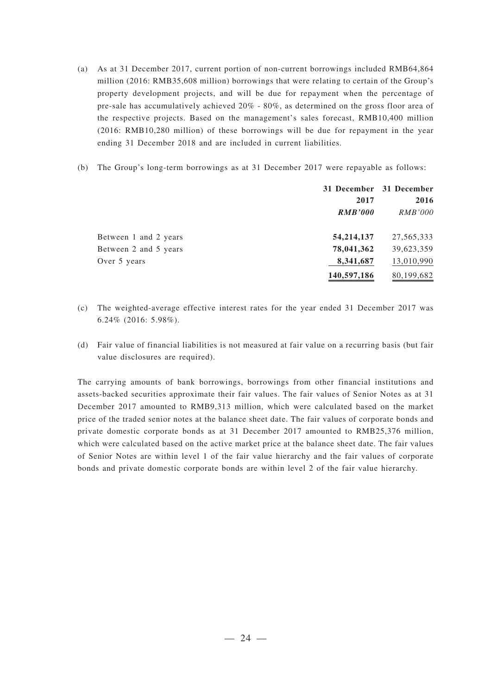- (a) As at 31 December 2017, current portion of non-current borrowings included RMB64,864 million (2016: RMB35,608 million) borrowings that were relating to certain of the Group's property development projects, and will be due for repayment when the percentage of pre-sale has accumulatively achieved 20% - 80%, as determined on the gross floor area of the respective projects. Based on the management's sales forecast, RMB10,400 million (2016: RMB10,280 million) of these borrowings will be due for repayment in the year ending 31 December 2018 and are included in current liabilities.
- (b) The Group's long-term borrowings as at 31 December 2017 were repayable as follows:

|                       |                | 31 December 31 December |
|-----------------------|----------------|-------------------------|
|                       | 2017           | 2016                    |
|                       | <b>RMB'000</b> | <i>RMB'000</i>          |
| Between 1 and 2 years | 54, 214, 137   | 27, 565, 333            |
| Between 2 and 5 years | 78,041,362     | 39,623,359              |
| Over 5 years          | 8,341,687      | 13,010,990              |
|                       | 140,597,186    | 80,199,682              |

- (c) The weighted-average effective interest rates for the year ended 31 December 2017 was 6.24% (2016: 5.98%).
- (d) Fair value of financial liabilities is not measured at fair value on a recurring basis (but fair value disclosures are required).

The carrying amounts of bank borrowings, borrowings from other financial institutions and assets-backed securities approximate their fair values. The fair values of Senior Notes as at 31 December 2017 amounted to RMB9,313 million, which were calculated based on the market price of the traded senior notes at the balance sheet date. The fair values of corporate bonds and private domestic corporate bonds as at 31 December 2017 amounted to RMB25,376 million, which were calculated based on the active market price at the balance sheet date. The fair values of Senior Notes are within level 1 of the fair value hierarchy and the fair values of corporate bonds and private domestic corporate bonds are within level 2 of the fair value hierarchy.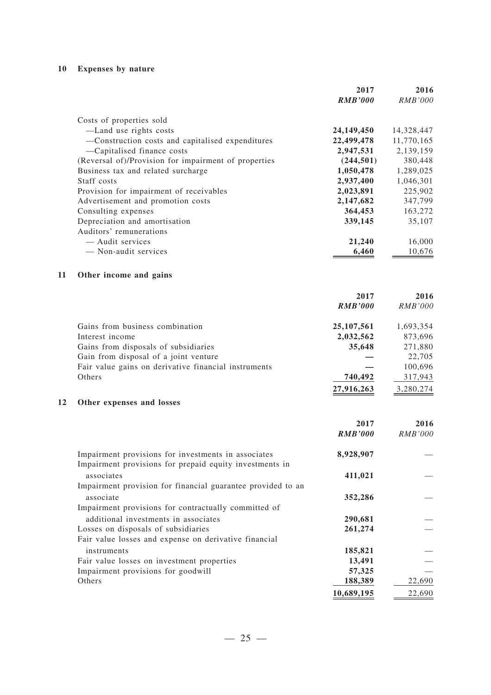### **10 Expenses by nature**

|                                                      | 2017           | 2016           |
|------------------------------------------------------|----------------|----------------|
|                                                      | <b>RMB'000</b> | <i>RMB'000</i> |
| Costs of properties sold                             |                |                |
| —Land use rights costs                               | 24,149,450     | 14,328,447     |
| -Construction costs and capitalised expenditures     | 22,499,478     | 11,770,165     |
| -Capitalised finance costs                           | 2,947,531      | 2,139,159      |
| (Reversal of)/Provision for impairment of properties | (244, 501)     | 380,448        |
| Business tax and related surcharge                   | 1,050,478      | 1,289,025      |
| Staff costs                                          | 2,937,400      | 1,046,301      |
| Provision for impairment of receivables              | 2,023,891      | 225,902        |
| Advertisement and promotion costs                    | 2,147,682      | 347,799        |
| Consulting expenses                                  | 364,453        | 163,272        |
| Depreciation and amortisation                        | 339,145        | 35,107         |
| Auditors' remunerations                              |                |                |
| — Audit services                                     | 21,240         | 16,000         |
| - Non-audit services                                 | 6,460          | 10,676         |
|                                                      |                |                |

### **11 Other income and gains**

|                                                      | 2017           | 2016           |
|------------------------------------------------------|----------------|----------------|
|                                                      | <b>RMB'000</b> | <i>RMB'000</i> |
| Gains from business combination                      | 25, 107, 561   | 1,693,354      |
| Interest income                                      | 2,032,562      | 873,696        |
| Gains from disposals of subsidiaries                 | 35,648         | 271,880        |
| Gain from disposal of a joint venture                |                | 22,705         |
| Fair value gains on derivative financial instruments |                | 100,696        |
| Others                                               | 740,492        | 317,943        |
|                                                      | 27,916,263     | 3,280,274      |

### **12 Other expenses and losses**

|                                                             | 2017<br><b>RMB'000</b> | 2016<br>RMB'000 |
|-------------------------------------------------------------|------------------------|-----------------|
| Impairment provisions for investments in associates         | 8,928,907              |                 |
| Impairment provisions for prepaid equity investments in     |                        |                 |
| associates                                                  | 411,021                |                 |
| Impairment provision for financial guarantee provided to an |                        |                 |
| associate                                                   | 352,286                |                 |
| Impairment provisions for contractually committed of        |                        |                 |
| additional investments in associates                        | 290,681                |                 |
| Losses on disposals of subsidiaries                         | 261,274                |                 |
| Fair value losses and expense on derivative financial       |                        |                 |
| instruments                                                 | 185,821                |                 |
| Fair value losses on investment properties                  | 13,491                 |                 |
| Impairment provisions for goodwill                          | 57,325                 |                 |
| Others                                                      | 188,389                | 22,690          |
|                                                             | 10,689,195             | 22,690          |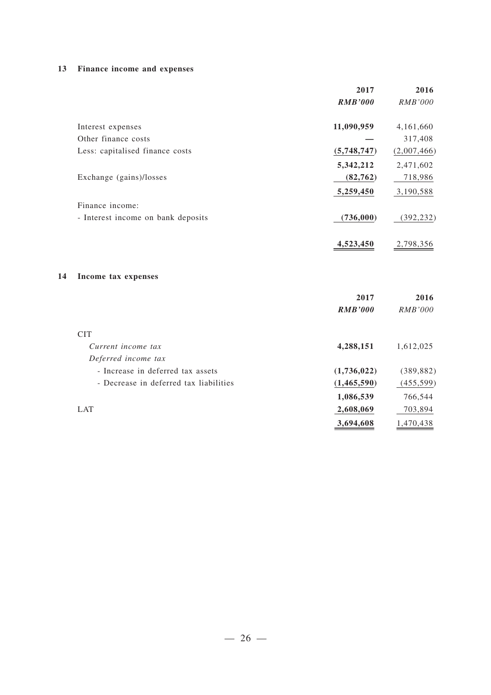### **13 Finance income and expenses**

|    |                                        | 2017           | 2016           |
|----|----------------------------------------|----------------|----------------|
|    |                                        | <b>RMB'000</b> | RMB'000        |
|    | Interest expenses                      | 11,090,959     | 4,161,660      |
|    | Other finance costs                    |                | 317,408        |
|    | Less: capitalised finance costs        | (5,748,747)    | (2,007,466)    |
|    |                                        | 5,342,212      | 2,471,602      |
|    | Exchange (gains)/losses                | (82, 762)      | 718,986        |
|    |                                        | 5,259,450      | 3,190,588      |
|    | Finance income:                        |                |                |
|    | - Interest income on bank deposits     | (736,000)      | (392, 232)     |
|    |                                        | 4,523,450      | 2,798,356      |
| 14 | Income tax expenses                    |                |                |
|    |                                        | 2017           | 2016           |
|    |                                        | <b>RMB'000</b> | <b>RMB'000</b> |
|    | <b>CIT</b>                             |                |                |
|    | Current income tax                     | 4,288,151      | 1,612,025      |
|    | Deferred income tax                    |                |                |
|    | - Increase in deferred tax assets      | (1,736,022)    | (389, 882)     |
|    | - Decrease in deferred tax liabilities | (1, 465, 590)  | (455, 599)     |
|    |                                        | 1,086,539      | 766,544        |
|    | <b>LAT</b>                             | 2,608,069      | 703,894        |
|    |                                        | 3,694,608      | 1,470,438      |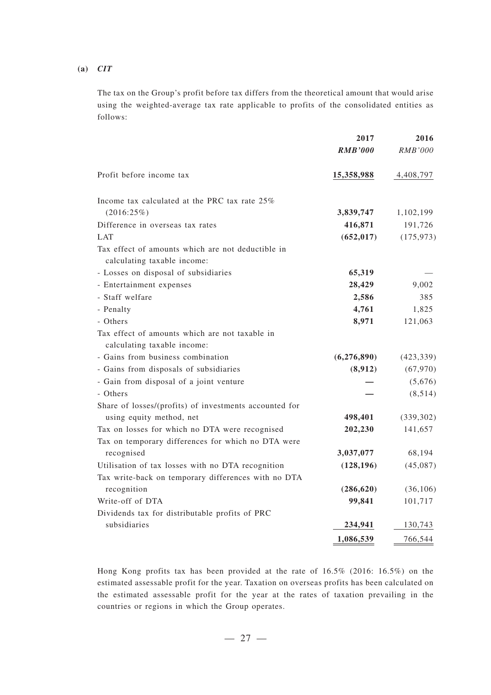#### **(a)** *CIT*

The tax on the Group's profit before tax differs from the theoretical amount that would arise using the weighted-average tax rate applicable to profits of the consolidated entities as follows:

|                                                                                  | 2017           | 2016       |
|----------------------------------------------------------------------------------|----------------|------------|
|                                                                                  | <b>RMB'000</b> | RMB'000    |
| Profit before income tax                                                         | 15,358,988     | 4,408,797  |
| Income tax calculated at the PRC tax rate 25%                                    |                |            |
| (2016:25%)                                                                       | 3,839,747      | 1,102,199  |
| Difference in overseas tax rates                                                 | 416,871        | 191,726    |
| <b>LAT</b>                                                                       | (652, 017)     | (175, 973) |
| Tax effect of amounts which are not deductible in<br>calculating taxable income: |                |            |
| - Losses on disposal of subsidiaries                                             | 65,319         |            |
| - Entertainment expenses                                                         | 28,429         | 9,002      |
| - Staff welfare                                                                  | 2,586          | 385        |
| - Penalty                                                                        | 4,761          | 1,825      |
| - Others                                                                         | 8,971          | 121,063    |
| Tax effect of amounts which are not taxable in<br>calculating taxable income:    |                |            |
| - Gains from business combination                                                | (6,276,890)    | (423, 339) |
| - Gains from disposals of subsidiaries                                           | (8,912)        | (67, 970)  |
| - Gain from disposal of a joint venture                                          |                | (5,676)    |
| - Others                                                                         |                | (8, 514)   |
| Share of losses/(profits) of investments accounted for                           |                |            |
| using equity method, net                                                         | 498,401        | (339, 302) |
| Tax on losses for which no DTA were recognised                                   | 202,230        | 141,657    |
| Tax on temporary differences for which no DTA were                               |                |            |
| recognised                                                                       | 3,037,077      | 68,194     |
| Utilisation of tax losses with no DTA recognition                                | (128, 196)     | (45,087)   |
| Tax write-back on temporary differences with no DTA                              |                |            |
| recognition                                                                      | (286, 620)     | (36, 106)  |
| Write-off of DTA                                                                 | 99,841         | 101,717    |
| Dividends tax for distributable profits of PRC                                   |                |            |
| subsidiaries                                                                     | 234,941        | 130,743    |
|                                                                                  | 1,086,539      | 766,544    |

Hong Kong profits tax has been provided at the rate of 16.5% (2016: 16.5%) on the estimated assessable profit for the year. Taxation on overseas profits has been calculated on the estimated assessable profit for the year at the rates of taxation prevailing in the countries or regions in which the Group operates.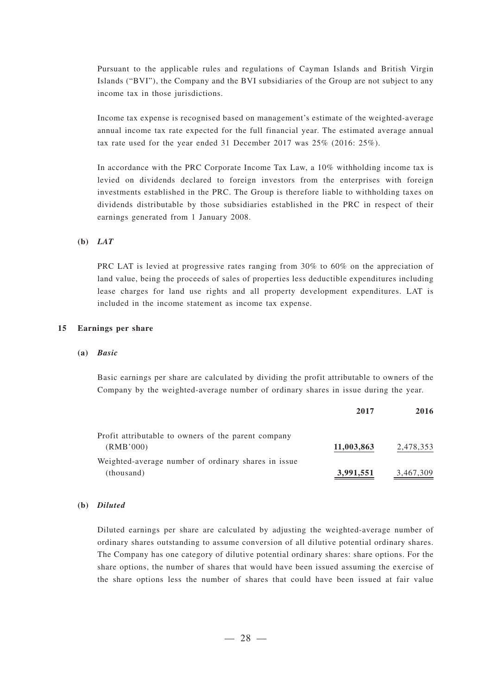Pursuant to the applicable rules and regulations of Cayman Islands and British Virgin Islands ("BVI"), the Company and the BVI subsidiaries of the Group are not subject to any income tax in those jurisdictions.

Income tax expense is recognised based on management's estimate of the weighted-average annual income tax rate expected for the full financial year. The estimated average annual tax rate used for the year ended 31 December 2017 was 25% (2016: 25%).

In accordance with the PRC Corporate Income Tax Law, a 10% withholding income tax is levied on dividends declared to foreign investors from the enterprises with foreign investments established in the PRC. The Group is therefore liable to withholding taxes on dividends distributable by those subsidiaries established in the PRC in respect of their earnings generated from 1 January 2008.

#### **(b)** *LAT*

PRC LAT is levied at progressive rates ranging from 30% to 60% on the appreciation of land value, being the proceeds of sales of properties less deductible expenditures including lease charges for land use rights and all property development expenditures. LAT is included in the income statement as income tax expense.

#### **15 Earnings per share**

#### **(a)** *Basic*

Basic earnings per share are calculated by dividing the profit attributable to owners of the Company by the weighted-average number of ordinary shares in issue during the year.

|                                                     | 2017       | 2016      |
|-----------------------------------------------------|------------|-----------|
| Profit attributable to owners of the parent company |            |           |
| (RMB'000)                                           | 11,003,863 | 2,478,353 |
| Weighted-average number of ordinary shares in issue |            |           |
| (thousand)                                          | 3,991,551  | 3,467,309 |

#### **(b)** *Diluted*

Diluted earnings per share are calculated by adjusting the weighted-average number of ordinary shares outstanding to assume conversion of all dilutive potential ordinary shares. The Company has one category of dilutive potential ordinary shares: share options. For the share options, the number of shares that would have been issued assuming the exercise of the share options less the number of shares that could have been issued at fair value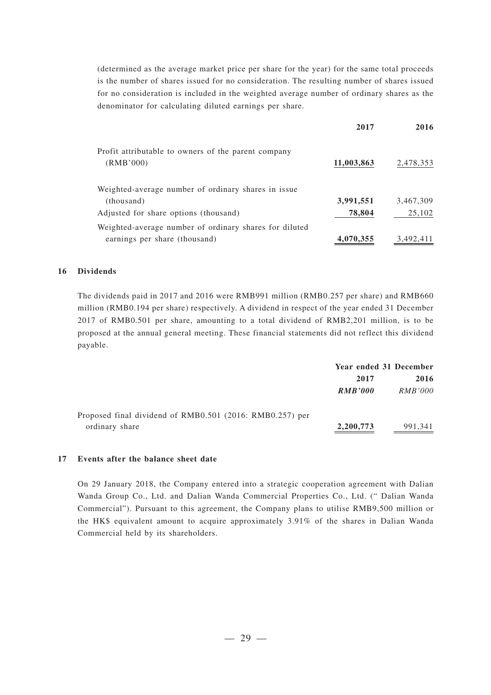(determined as the average market price per share for the year) for the same total proceeds is the number of shares issued for no consideration. The resulting number of shares issued for no consideration is included in the weighted average number of ordinary shares as the denominator for calculating diluted earnings per share.

|                                                                                         | 2017       | 2016      |
|-----------------------------------------------------------------------------------------|------------|-----------|
| Profit attributable to owners of the parent company<br>(RMB'000)                        | 11,003,863 | 2,478,353 |
| Weighted-average number of ordinary shares in issue<br>(thousand)                       | 3,991,551  | 3,467,309 |
| Adjusted for share options (thousand)                                                   | 78,804     | 25,102    |
| Weighted-average number of ordinary shares for diluted<br>earnings per share (thousand) | 4,070,355  | 3,492,411 |

#### **16 Dividends**

The dividends paid in 2017 and 2016 were RMB991 million (RMB0.257 per share) and RMB660 million (RMB0.194 per share) respectively. A dividend in respect of the year ended 31 December 2017 of RMB0.501 per share, amounting to a total dividend of RMB2,201 million, is to be proposed at the annual general meeting. These financial statements did not reflect this dividend payable.

|                                                          | Year ended 31 December |                |
|----------------------------------------------------------|------------------------|----------------|
|                                                          | 2017                   | 2016           |
|                                                          | <b>RMB'000</b>         | <i>RMB'000</i> |
| Proposed final dividend of RMB0.501 (2016: RMB0.257) per |                        |                |
| ordinary share                                           | 2,200,773              | 991,341        |

#### **17 Events after the balance sheet date**

On 29 January 2018, the Company entered into a strategic cooperation agreement with Dalian Wanda Group Co., Ltd. and Dalian Wanda Commercial Properties Co., Ltd. (" Dalian Wanda Commercial"). Pursuant to this agreement, the Company plans to utilise RMB9,500 million or the HK\$ equivalent amount to acquire approximately 3.91% of the shares in Dalian Wanda Commercial held by its shareholders.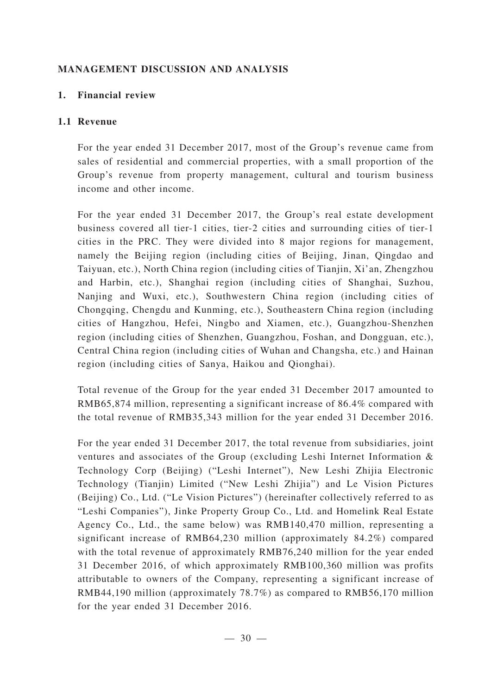### **MANAGEMENT DISCUSSION AND ANALYSIS**

### **1. Financial review**

### **1.1 Revenue**

For the year ended 31 December 2017, most of the Group's revenue came from sales of residential and commercial properties, with a small proportion of the Group's revenue from property management, cultural and tourism business income and other income.

For the year ended 31 December 2017, the Group's real estate development business covered all tier-1 cities, tier-2 cities and surrounding cities of tier-1 cities in the PRC. They were divided into 8 major regions for management, namely the Beijing region (including cities of Beijing, Jinan, Qingdao and Taiyuan, etc.), North China region (including cities of Tianjin, Xi'an, Zhengzhou and Harbin, etc.), Shanghai region (including cities of Shanghai, Suzhou, Nanjing and Wuxi, etc.), Southwestern China region (including cities of Chongqing, Chengdu and Kunming, etc.), Southeastern China region (including cities of Hangzhou, Hefei, Ningbo and Xiamen, etc.), Guangzhou-Shenzhen region (including cities of Shenzhen, Guangzhou, Foshan, and Dongguan, etc.), Central China region (including cities of Wuhan and Changsha, etc.) and Hainan region (including cities of Sanya, Haikou and Qionghai).

Total revenue of the Group for the year ended 31 December 2017 amounted to RMB65,874 million, representing a significant increase of 86.4% compared with the total revenue of RMB35,343 million for the year ended 31 December 2016.

For the year ended 31 December 2017, the total revenue from subsidiaries, joint ventures and associates of the Group (excluding Leshi Internet Information & Technology Corp (Beijing) ("Leshi Internet"), New Leshi Zhijia Electronic Technology (Tianjin) Limited ("New Leshi Zhijia") and Le Vision Pictures (Beijing) Co., Ltd. ("Le Vision Pictures") (hereinafter collectively referred to as "Leshi Companies"), Jinke Property Group Co., Ltd. and Homelink Real Estate Agency Co., Ltd., the same below) was RMB140,470 million, representing a significant increase of RMB64,230 million (approximately 84.2%) compared with the total revenue of approximately RMB76,240 million for the year ended 31 December 2016, of which approximately RMB100,360 million was profits attributable to owners of the Company, representing a significant increase of RMB44,190 million (approximately 78.7%) as compared to RMB56,170 million for the year ended 31 December 2016.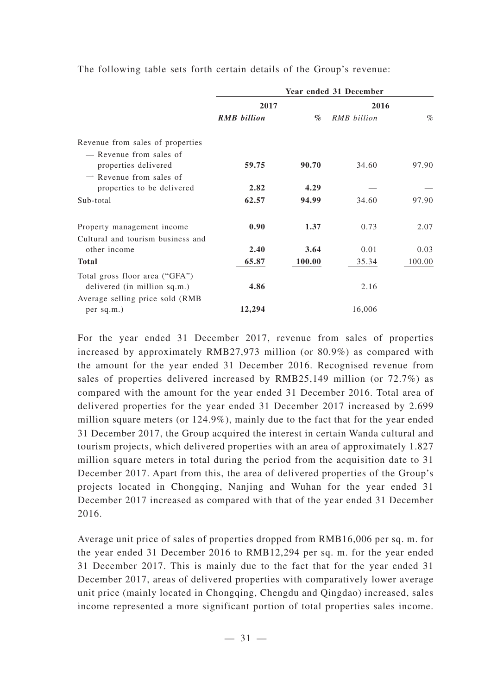|                                   |                    |        | Year ended 31 December |        |
|-----------------------------------|--------------------|--------|------------------------|--------|
|                                   | 2017               |        | 2016                   |        |
|                                   | <b>RMB</b> billion | $\%$   | RMB billion            | $\%$   |
| Revenue from sales of properties  |                    |        |                        |        |
| — Revenue from sales of           |                    |        |                        |        |
| properties delivered              | 59.75              | 90.70  | 34.60                  | 97.90  |
| $\equiv$ Revenue from sales of    |                    |        |                        |        |
| properties to be delivered        | 2.82               | 4.29   |                        |        |
| Sub-total                         | 62.57              | 94.99  | 34.60                  | 97.90  |
| Property management income        | 0.90               | 1.37   | 0.73                   | 2.07   |
| Cultural and tourism business and |                    |        |                        |        |
| other income                      | 2.40               | 3.64   | 0.01                   | 0.03   |
| <b>Total</b>                      | 65.87              | 100.00 | 35.34                  | 100.00 |
| Total gross floor area ("GFA")    |                    |        |                        |        |
| delivered (in million sq.m.)      | 4.86               |        | 2.16                   |        |
| Average selling price sold (RMB)  |                    |        |                        |        |
| per sq.m.)                        | 12,294             |        | 16,006                 |        |

The following table sets forth certain details of the Group's revenue:

For the year ended 31 December 2017, revenue from sales of properties increased by approximately RMB27,973 million (or 80.9%) as compared with the amount for the year ended 31 December 2016. Recognised revenue from sales of properties delivered increased by RMB25,149 million (or 72.7%) as compared with the amount for the year ended 31 December 2016. Total area of delivered properties for the year ended 31 December 2017 increased by 2.699 million square meters (or 124.9%), mainly due to the fact that for the year ended 31 December 2017, the Group acquired the interest in certain Wanda cultural and tourism projects, which delivered properties with an area of approximately 1.827 million square meters in total during the period from the acquisition date to 31 December 2017. Apart from this, the area of delivered properties of the Group's projects located in Chongqing, Nanjing and Wuhan for the year ended 31 December 2017 increased as compared with that of the year ended 31 December 2016.

Average unit price of sales of properties dropped from RMB16,006 per sq. m. for the year ended 31 December 2016 to RMB12,294 per sq. m. for the year ended 31 December 2017. This is mainly due to the fact that for the year ended 31 December 2017, areas of delivered properties with comparatively lower average unit price (mainly located in Chongqing, Chengdu and Qingdao) increased, sales income represented a more significant portion of total properties sales income.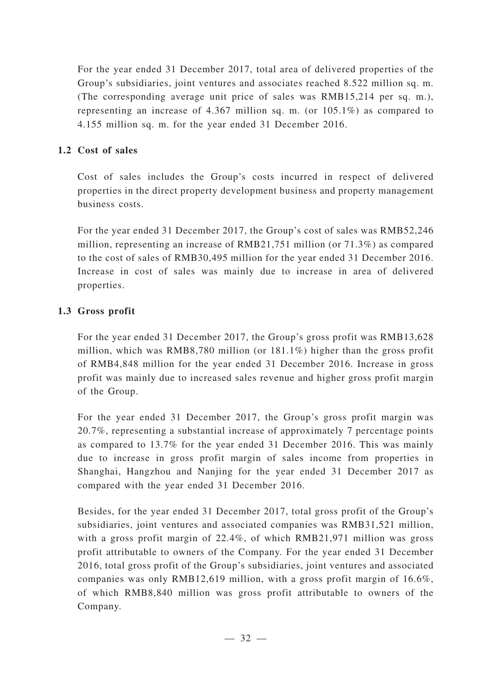For the year ended 31 December 2017, total area of delivered properties of the Group's subsidiaries, joint ventures and associates reached 8.522 million sq. m. (The corresponding average unit price of sales was RMB15,214 per sq. m.), representing an increase of 4.367 million sq. m. (or 105.1%) as compared to 4.155 million sq. m. for the year ended 31 December 2016.

## **1.2 Cost of sales**

Cost of sales includes the Group's costs incurred in respect of delivered properties in the direct property development business and property management business costs.

For the year ended 31 December 2017, the Group's cost of sales was RMB52,246 million, representing an increase of RMB21,751 million (or 71.3%) as compared to the cost of sales of RMB30,495 million for the year ended 31 December 2016. Increase in cost of sales was mainly due to increase in area of delivered properties.

## **1.3 Gross profit**

For the year ended 31 December 2017, the Group's gross profit was RMB13,628 million, which was RMB8,780 million (or 181.1%) higher than the gross profit of RMB4,848 million for the year ended 31 December 2016. Increase in gross profit was mainly due to increased sales revenue and higher gross profit margin of the Group.

For the year ended 31 December 2017, the Group's gross profit margin was 20.7%, representing a substantial increase of approximately 7 percentage points as compared to 13.7% for the year ended 31 December 2016. This was mainly due to increase in gross profit margin of sales income from properties in Shanghai, Hangzhou and Nanjing for the year ended 31 December 2017 as compared with the year ended 31 December 2016.

Besides, for the year ended 31 December 2017, total gross profit of the Group's subsidiaries, joint ventures and associated companies was RMB31,521 million, with a gross profit margin of 22.4%, of which RMB21,971 million was gross profit attributable to owners of the Company. For the year ended 31 December 2016, total gross profit of the Group's subsidiaries, joint ventures and associated companies was only RMB12,619 million, with a gross profit margin of 16.6%, of which RMB8,840 million was gross profit attributable to owners of the Company.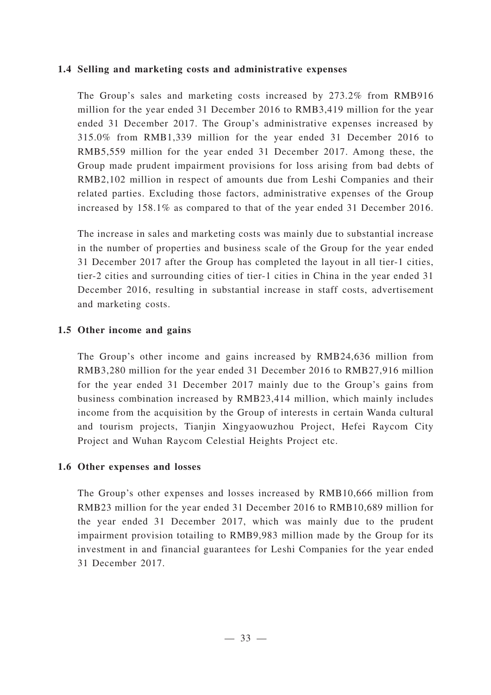### **1.4 Selling and marketing costs and administrative expenses**

The Group's sales and marketing costs increased by 273.2% from RMB916 million for the year ended 31 December 2016 to RMB3,419 million for the year ended 31 December 2017. The Group's administrative expenses increased by 315.0% from RMB1,339 million for the year ended 31 December 2016 to RMB5,559 million for the year ended 31 December 2017. Among these, the Group made prudent impairment provisions for loss arising from bad debts of RMB2,102 million in respect of amounts due from Leshi Companies and their related parties. Excluding those factors, administrative expenses of the Group increased by 158.1% as compared to that of the year ended 31 December 2016.

The increase in sales and marketing costs was mainly due to substantial increase in the number of properties and business scale of the Group for the year ended 31 December 2017 after the Group has completed the layout in all tier-1 cities, tier-2 cities and surrounding cities of tier-1 cities in China in the year ended 31 December 2016, resulting in substantial increase in staff costs, advertisement and marketing costs.

### **1.5 Other income and gains**

The Group's other income and gains increased by RMB24,636 million from RMB3,280 million for the year ended 31 December 2016 to RMB27,916 million for the year ended 31 December 2017 mainly due to the Group's gains from business combination increased by RMB23,414 million, which mainly includes income from the acquisition by the Group of interests in certain Wanda cultural and tourism projects, Tianjin Xingyaowuzhou Project, Hefei Raycom City Project and Wuhan Raycom Celestial Heights Project etc.

### **1.6 Other expenses and losses**

The Group's other expenses and losses increased by RMB10,666 million from RMB23 million for the year ended 31 December 2016 to RMB10,689 million for the year ended 31 December 2017, which was mainly due to the prudent impairment provision totailing to RMB9,983 million made by the Group for its investment in and financial guarantees for Leshi Companies for the year ended 31 December 2017.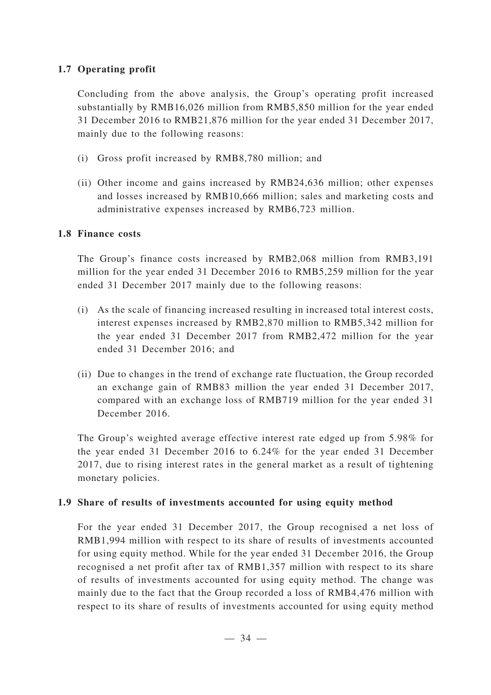## **1.7 Operating profit**

Concluding from the above analysis, the Group's operating profit increased substantially by RMB16,026 million from RMB5,850 million for the year ended 31 December 2016 to RMB21,876 million for the year ended 31 December 2017, mainly due to the following reasons:

- (i) Gross profit increased by RMB8,780 million; and
- (ii) Other income and gains increased by RMB24,636 million; other expenses and losses increased by RMB10,666 million; sales and marketing costs and administrative expenses increased by RMB6,723 million.

### **1.8 Finance costs**

The Group's finance costs increased by RMB2,068 million from RMB3,191 million for the year ended 31 December 2016 to RMB5,259 million for the year ended 31 December 2017 mainly due to the following reasons:

- (i) As the scale of financing increased resulting in increased total interest costs, interest expenses increased by RMB2,870 million to RMB5,342 million for the year ended 31 December 2017 from RMB2,472 million for the year ended 31 December 2016; and
- (ii) Due to changes in the trend of exchange rate fluctuation, the Group recorded an exchange gain of RMB83 million the year ended 31 December 2017, compared with an exchange loss of RMB719 million for the year ended 31 December 2016.

The Group's weighted average effective interest rate edged up from 5.98% for the year ended 31 December 2016 to 6.24% for the year ended 31 December 2017, due to rising interest rates in the general market as a result of tightening monetary policies.

### **1.9 Share of results of investments accounted for using equity method**

For the year ended 31 December 2017, the Group recognised a net loss of RMB1,994 million with respect to its share of results of investments accounted for using equity method. While for the year ended 31 December 2016, the Group recognised a net profit after tax of RMB1,357 million with respect to its share of results of investments accounted for using equity method. The change was mainly due to the fact that the Group recorded a loss of RMB4,476 million with respect to its share of results of investments accounted for using equity method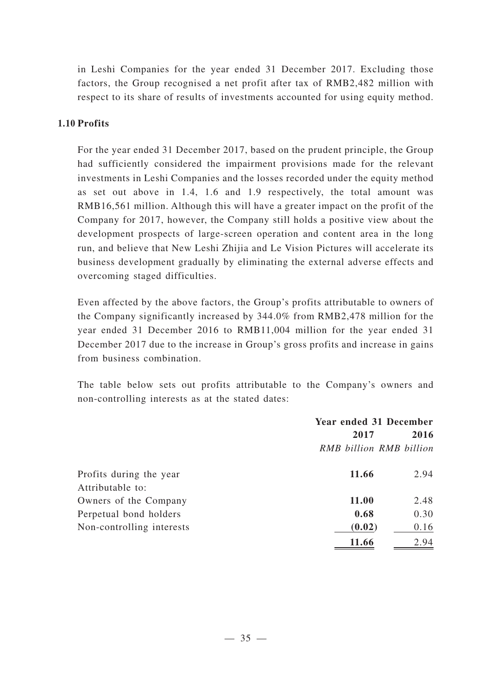in Leshi Companies for the year ended 31 December 2017. Excluding those factors, the Group recognised a net profit after tax of RMB2,482 million with respect to its share of results of investments accounted for using equity method.

### **1.10 Profits**

For the year ended 31 December 2017, based on the prudent principle, the Group had sufficiently considered the impairment provisions made for the relevant investments in Leshi Companies and the losses recorded under the equity method as set out above in 1.4, 1.6 and 1.9 respectively, the total amount was RMB16,561 million. Although this will have a greater impact on the profit of the Company for 2017, however, the Company still holds a positive view about the development prospects of large-screen operation and content area in the long run, and believe that New Leshi Zhijia and Le Vision Pictures will accelerate its business development gradually by eliminating the external adverse effects and overcoming staged difficulties.

Even affected by the above factors, the Group's profits attributable to owners of the Company significantly increased by 344.0% from RMB2,478 million for the year ended 31 December 2016 to RMB11,004 million for the year ended 31 December 2017 due to the increase in Group's gross profits and increase in gains from business combination.

The table below sets out profits attributable to the Company's owners and non-controlling interests as at the stated dates:

|                           | Year ended 31 December  |      |
|---------------------------|-------------------------|------|
|                           | 2017                    |      |
|                           | RMB billion RMB billion |      |
| Profits during the year   | 11.66                   | 2.94 |
| Attributable to:          |                         |      |
| Owners of the Company     | 11.00                   | 2.48 |
| Perpetual bond holders    | 0.68                    | 0.30 |
| Non-controlling interests | (0.02)                  | 0.16 |
|                           | 11.66                   | 2.94 |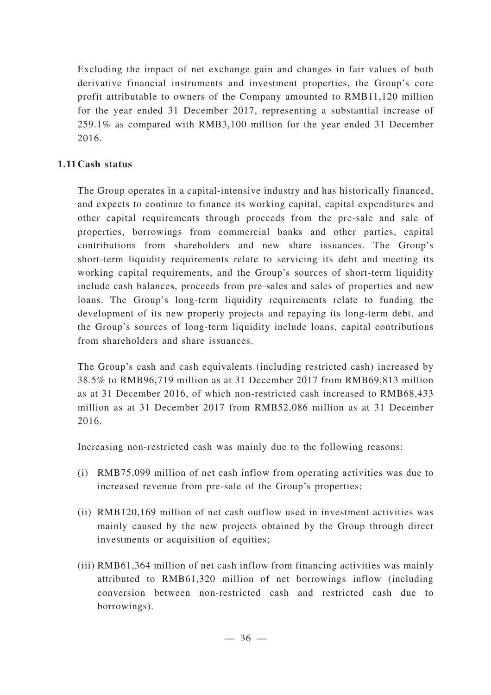Excluding the impact of net exchange gain and changes in fair values of both derivative financial instruments and investment properties, the Group's core profit attributable to owners of the Company amounted to RMB11,120 million for the year ended 31 December 2017, representing a substantial increase of 259.1% as compared with RMB3,100 million for the year ended 31 December 2016.

## **1.11 Cash status**

The Group operates in a capital-intensive industry and has historically financed, and expects to continue to finance its working capital, capital expenditures and other capital requirements through proceeds from the pre-sale and sale of properties, borrowings from commercial banks and other parties, capital contributions from shareholders and new share issuances. The Group's short-term liquidity requirements relate to servicing its debt and meeting its working capital requirements, and the Group's sources of short-term liquidity include cash balances, proceeds from pre-sales and sales of properties and new loans. The Group's long-term liquidity requirements relate to funding the development of its new property projects and repaying its long-term debt, and the Group's sources of long-term liquidity include loans, capital contributions from shareholders and share issuances.

The Group's cash and cash equivalents (including restricted cash) increased by 38.5% to RMB96,719 million as at 31 December 2017 from RMB69,813 million as at 31 December 2016, of which non-restricted cash increased to RMB68,433 million as at 31 December 2017 from RMB52,086 million as at 31 December 2016.

Increasing non-restricted cash was mainly due to the following reasons:

- (i) RMB75,099 million of net cash inflow from operating activities was due to increased revenue from pre-sale of the Group's properties;
- (ii) RMB120,169 million of net cash outflow used in investment activities was mainly caused by the new projects obtained by the Group through direct investments or acquisition of equities;
- (iii) RMB61,364 million of net cash inflow from financing activities was mainly attributed to RMB61,320 million of net borrowings inflow (including conversion between non-restricted cash and restricted cash due to borrowings).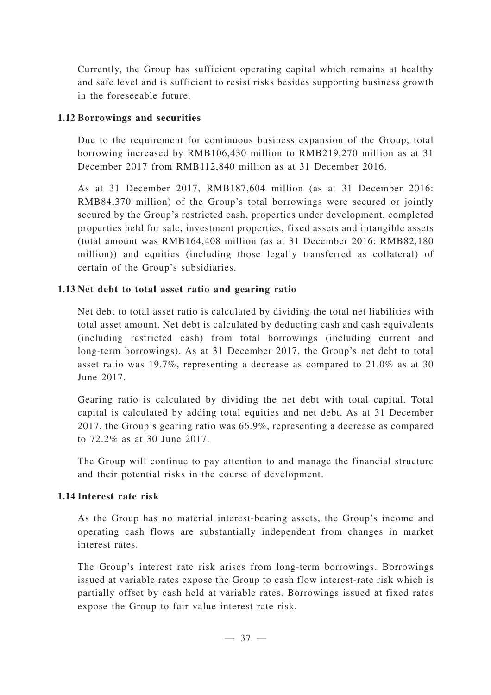Currently, the Group has sufficient operating capital which remains at healthy and safe level and is sufficient to resist risks besides supporting business growth in the foreseeable future.

### **1.12 Borrowings and securities**

Due to the requirement for continuous business expansion of the Group, total borrowing increased by RMB106,430 million to RMB219,270 million as at 31 December 2017 from RMB112,840 million as at 31 December 2016.

As at 31 December 2017, RMB187,604 million (as at 31 December 2016: RMB84,370 million) of the Group's total borrowings were secured or jointly secured by the Group's restricted cash, properties under development, completed properties held for sale, investment properties, fixed assets and intangible assets (total amount was RMB164,408 million (as at 31 December 2016: RMB82,180 million)) and equities (including those legally transferred as collateral) of certain of the Group's subsidiaries.

## **1.13 Net debt to total asset ratio and gearing ratio**

Net debt to total asset ratio is calculated by dividing the total net liabilities with total asset amount. Net debt is calculated by deducting cash and cash equivalents (including restricted cash) from total borrowings (including current and long-term borrowings). As at 31 December 2017, the Group's net debt to total asset ratio was 19.7%, representing a decrease as compared to 21.0% as at 30 June 2017.

Gearing ratio is calculated by dividing the net debt with total capital. Total capital is calculated by adding total equities and net debt. As at 31 December 2017, the Group's gearing ratio was 66.9%, representing a decrease as compared to 72.2% as at 30 June 2017.

The Group will continue to pay attention to and manage the financial structure and their potential risks in the course of development.

## **1.14 Interest rate risk**

As the Group has no material interest-bearing assets, the Group's income and operating cash flows are substantially independent from changes in market interest rates.

The Group's interest rate risk arises from long-term borrowings. Borrowings issued at variable rates expose the Group to cash flow interest-rate risk which is partially offset by cash held at variable rates. Borrowings issued at fixed rates expose the Group to fair value interest-rate risk.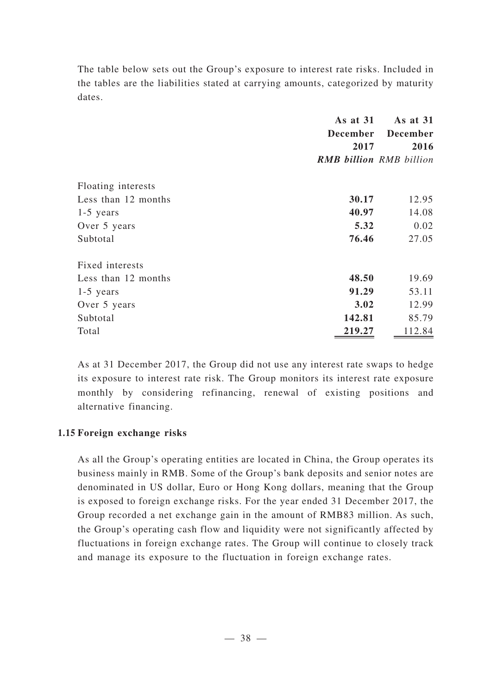The table below sets out the Group's exposure to interest rate risks. Included in the tables are the liabilities stated at carrying amounts, categorized by maturity dates.

|                     | As at 31                       | As at 31        |  |
|---------------------|--------------------------------|-----------------|--|
|                     | <b>December</b>                | <b>December</b> |  |
|                     | 2017                           | 2016            |  |
|                     | <b>RMB billion RMB billion</b> |                 |  |
| Floating interests  |                                |                 |  |
| Less than 12 months | 30.17                          | 12.95           |  |
| $1-5$ years         | 40.97                          | 14.08           |  |
| Over 5 years        | 5.32                           | 0.02            |  |
| Subtotal            | 76.46                          | 27.05           |  |
| Fixed interests     |                                |                 |  |
| Less than 12 months | 48.50                          | 19.69           |  |
| $1-5$ years         | 91.29                          | 53.11           |  |
| Over 5 years        | 3.02                           | 12.99           |  |
| Subtotal            | 142.81                         | 85.79           |  |
| Total               | 219.27                         | 112.84          |  |

As at 31 December 2017, the Group did not use any interest rate swaps to hedge its exposure to interest rate risk. The Group monitors its interest rate exposure monthly by considering refinancing, renewal of existing positions and alternative financing.

## **1.15 Foreign exchange risks**

As all the Group's operating entities are located in China, the Group operates its business mainly in RMB. Some of the Group's bank deposits and senior notes are denominated in US dollar, Euro or Hong Kong dollars, meaning that the Group is exposed to foreign exchange risks. For the year ended 31 December 2017, the Group recorded a net exchange gain in the amount of RMB83 million. As such, the Group's operating cash flow and liquidity were not significantly affected by fluctuations in foreign exchange rates. The Group will continue to closely track and manage its exposure to the fluctuation in foreign exchange rates.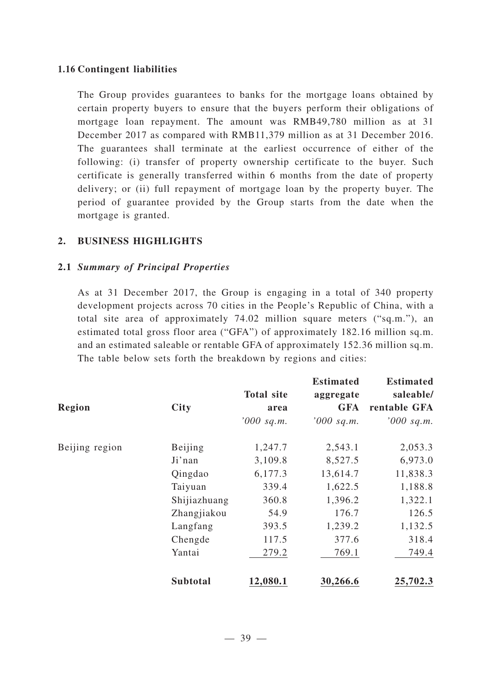### **1.16 Contingent liabilities**

The Group provides guarantees to banks for the mortgage loans obtained by certain property buyers to ensure that the buyers perform their obligations of mortgage loan repayment. The amount was RMB49,780 million as at 31 December 2017 as compared with RMB11,379 million as at 31 December 2016. The guarantees shall terminate at the earliest occurrence of either of the following: (i) transfer of property ownership certificate to the buyer. Such certificate is generally transferred within 6 months from the date of property delivery; or (ii) full repayment of mortgage loan by the property buyer. The period of guarantee provided by the Group starts from the date when the mortgage is granted.

### **2. BUSINESS HIGHLIGHTS**

### **2.1** *Summary of Principal Properties*

As at 31 December 2017, the Group is engaging in a total of 340 property development projects across 70 cities in the People's Republic of China, with a total site area of approximately 74.02 million square meters ("sq.m."), an estimated total gross floor area ("GFA") of approximately 182.16 million sq.m. and an estimated saleable or rentable GFA of approximately 152.36 million sq.m. The table below sets forth the breakdown by regions and cities:

| <b>Region</b>  | <b>City</b>     | <b>Total site</b><br>area | <b>Estimated</b><br>aggregate<br><b>GFA</b> | <b>Estimated</b><br>saleable/<br>rentable GFA |
|----------------|-----------------|---------------------------|---------------------------------------------|-----------------------------------------------|
|                |                 | $'000$ sq.m.              | $'000$ sq.m.                                | $'000$ sq.m.                                  |
| Beijing region | Beijing         | 1,247.7                   | 2,543.1                                     | 2,053.3                                       |
|                | Ji'nan          | 3,109.8                   | 8,527.5                                     | 6,973.0                                       |
|                | Qingdao         | 6,177.3                   | 13,614.7                                    | 11,838.3                                      |
|                | Taiyuan         | 339.4                     | 1,622.5                                     | 1,188.8                                       |
|                | Shijiazhuang    | 360.8                     | 1,396.2                                     | 1,322.1                                       |
|                | Zhangjiakou     | 54.9                      | 176.7                                       | 126.5                                         |
|                | Langfang        | 393.5                     | 1,239.2                                     | 1,132.5                                       |
|                | Chengde         | 117.5                     | 377.6                                       | 318.4                                         |
|                | Yantai          | 279.2                     | 769.1                                       | 749.4                                         |
|                | <b>Subtotal</b> | 12,080.1                  | 30,266.6                                    | 25,702.3                                      |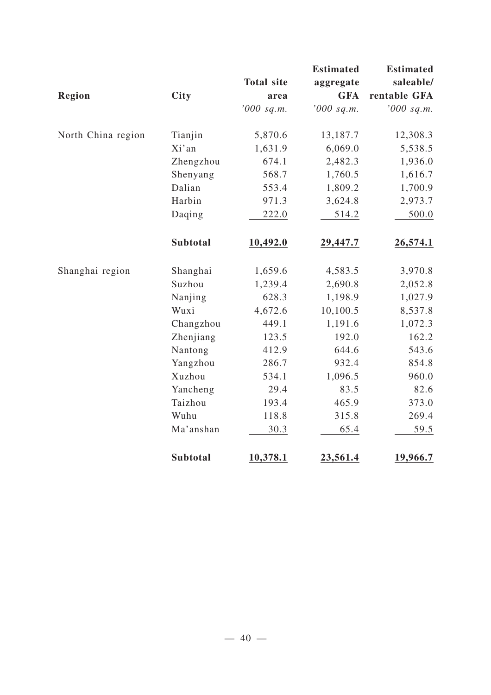|                    |                 |                   | <b>Estimated</b> | <b>Estimated</b> |
|--------------------|-----------------|-------------------|------------------|------------------|
|                    |                 | <b>Total site</b> | aggregate        | saleable/        |
| Region             | <b>City</b>     | area              | <b>GFA</b>       | rentable GFA     |
|                    |                 | '000 sq.m.        | $'000$ sq.m.     | '000 sq.m.       |
| North China region | Tianjin         | 5,870.6           | 13,187.7         | 12,308.3         |
|                    | Xi'an           | 1,631.9           | 6,069.0          | 5,538.5          |
|                    | Zhengzhou       | 674.1             | 2,482.3          | 1,936.0          |
|                    | Shenyang        | 568.7             | 1,760.5          | 1,616.7          |
|                    | Dalian          | 553.4             | 1,809.2          | 1,700.9          |
|                    | Harbin          | 971.3             | 3,624.8          | 2,973.7          |
|                    | Daqing          | 222.0             | 514.2            | 500.0            |
|                    | <b>Subtotal</b> | 10,492.0          | 29,447.7         | 26,574.1         |
| Shanghai region    | Shanghai        | 1,659.6           | 4,583.5          | 3,970.8          |
|                    | Suzhou          | 1,239.4           | 2,690.8          | 2,052.8          |
|                    | Nanjing         | 628.3             | 1,198.9          | 1,027.9          |
|                    | Wuxi            | 4,672.6           | 10,100.5         | 8,537.8          |
|                    | Changzhou       | 449.1             | 1,191.6          | 1,072.3          |
|                    | Zhenjiang       | 123.5             | 192.0            | 162.2            |
|                    | Nantong         | 412.9             | 644.6            | 543.6            |
|                    | Yangzhou        | 286.7             | 932.4            | 854.8            |
|                    | Xuzhou          | 534.1             | 1,096.5          | 960.0            |
|                    | Yancheng        | 29.4              | 83.5             | 82.6             |
|                    | Taizhou         | 193.4             | 465.9            | 373.0            |
|                    | Wuhu            | 118.8             | 315.8            | 269.4            |
|                    | Ma'anshan       | 30.3              | 65.4             | 59.5             |
|                    | <b>Subtotal</b> | 10,378.1          | 23,561.4         | 19,966.7         |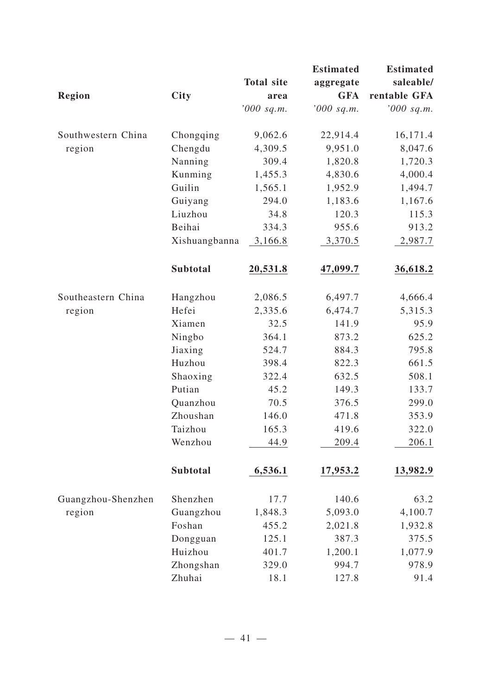|                    |                 |                   | <b>Estimated</b> | <b>Estimated</b> |
|--------------------|-----------------|-------------------|------------------|------------------|
|                    |                 | <b>Total site</b> | aggregate        | saleable/        |
| <b>Region</b>      | <b>City</b>     | area              | <b>GFA</b>       | rentable GFA     |
|                    |                 | '000 sq.m.        | $'000$ sq.m.     | $'000$ sq.m.     |
| Southwestern China | Chongqing       | 9,062.6           | 22,914.4         | 16,171.4         |
| region             | Chengdu         | 4,309.5           | 9,951.0          | 8,047.6          |
|                    | Nanning         | 309.4             | 1,820.8          | 1,720.3          |
|                    | Kunming         | 1,455.3           | 4,830.6          | 4,000.4          |
|                    | Guilin          | 1,565.1           | 1,952.9          | 1,494.7          |
|                    | Guiyang         | 294.0             | 1,183.6          | 1,167.6          |
|                    | Liuzhou         | 34.8              | 120.3            | 115.3            |
|                    | Beihai          | 334.3             | 955.6            | 913.2            |
|                    | Xishuangbanna   | 3,166.8           | 3,370.5          | 2,987.7          |
|                    | <b>Subtotal</b> | 20,531.8          | 47,099.7         | 36,618.2         |
| Southeastern China | Hangzhou        | 2,086.5           | 6,497.7          | 4,666.4          |
| region             | Hefei           | 2,335.6           | 6,474.7          | 5,315.3          |
|                    | Xiamen          | 32.5              | 141.9            | 95.9             |
|                    | Ningbo          | 364.1             | 873.2            | 625.2            |
|                    | Jiaxing         | 524.7             | 884.3            | 795.8            |
|                    | Huzhou          | 398.4             | 822.3            | 661.5            |
|                    | Shaoxing        | 322.4             | 632.5            | 508.1            |
|                    | Putian          | 45.2              | 149.3            | 133.7            |
|                    | Quanzhou        | 70.5              | 376.5            | 299.0            |
|                    | Zhoushan        | 146.0             | 471.8            | 353.9            |
|                    | Taizhou         | 165.3             | 419.6            | 322.0            |
|                    | Wenzhou         | 44.9              | 209.4            | 206.1            |
|                    | Subtotal        | 6,536.1           | 17,953.2         | 13,982.9         |
| Guangzhou-Shenzhen | Shenzhen        | 17.7              | 140.6            | 63.2             |
| region             | Guangzhou       | 1,848.3           | 5,093.0          | 4,100.7          |
|                    | Foshan          | 455.2             | 2,021.8          | 1,932.8          |
|                    | Dongguan        | 125.1             | 387.3            | 375.5            |
|                    | Huizhou         | 401.7             | 1,200.1          | 1,077.9          |
|                    | Zhongshan       | 329.0             | 994.7            | 978.9            |
|                    | Zhuhai          | 18.1              | 127.8            | 91.4             |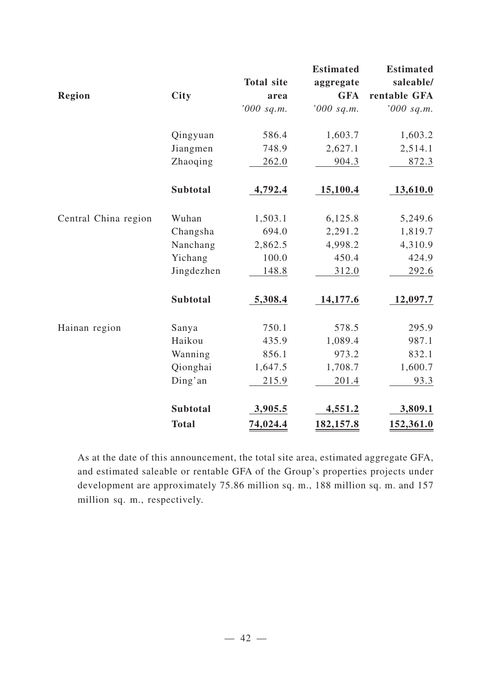|                      |                 |                   | <b>Estimated</b> | <b>Estimated</b> |
|----------------------|-----------------|-------------------|------------------|------------------|
|                      |                 | <b>Total site</b> | aggregate        | saleable/        |
| <b>Region</b>        | <b>City</b>     | area              | <b>GFA</b>       | rentable GFA     |
|                      |                 | '000 sq.m.        | $'000$ sq.m.     | $'000$ sq.m.     |
|                      | Qingyuan        | 586.4             | 1,603.7          | 1,603.2          |
|                      | Jiangmen        | 748.9             | 2,627.1          | 2,514.1          |
|                      | Zhaoqing        | 262.0             | 904.3            | 872.3            |
|                      | <b>Subtotal</b> | 4,792.4           | 15,100.4         | 13,610.0         |
| Central China region | Wuhan           | 1,503.1           | 6,125.8          | 5,249.6          |
|                      | Changsha        | 694.0             | 2,291.2          | 1,819.7          |
|                      | Nanchang        | 2,862.5           | 4,998.2          | 4,310.9          |
|                      | Yichang         | 100.0             | 450.4            | 424.9            |
|                      | Jingdezhen      | 148.8             | 312.0            | 292.6            |
|                      | Subtotal        | 5,308.4           | 14,177.6         | 12,097.7         |
| Hainan region        | Sanya           | 750.1             | 578.5            | 295.9            |
|                      | Haikou          | 435.9             | 1,089.4          | 987.1            |
|                      | Wanning         | 856.1             | 973.2            | 832.1            |
|                      | Qionghai        | 1,647.5           | 1,708.7          | 1,600.7          |
|                      | Ding'an         | 215.9             | 201.4            | 93.3             |
|                      | <b>Subtotal</b> | 3,905.5           | 4,551.2          | 3,809.1          |
|                      | <b>Total</b>    | 74,024.4          | 182,157.8        | 152,361.0        |

As at the date of this announcement, the total site area, estimated aggregate GFA, and estimated saleable or rentable GFA of the Group's properties projects under development are approximately 75.86 million sq. m., 188 million sq. m. and 157 million sq. m., respectively.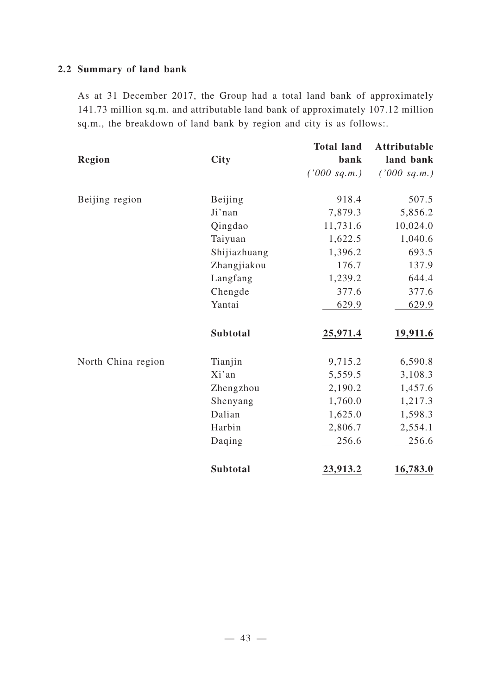## **2.2 Summary of land bank**

As at 31 December 2017, the Group had a total land bank of approximately 141.73 million sq.m. and attributable land bank of approximately 107.12 million sq.m., the breakdown of land bank by region and city is as follows:.

|                    |                 | <b>Total land</b> | <b>Attributable</b> |
|--------------------|-----------------|-------------------|---------------------|
| Region             | City            | bank              | land bank           |
|                    |                 | ('000 sq.m.)      | ('000 sq.m.)        |
| Beijing region     | Beijing         | 918.4             | 507.5               |
|                    | Ji'nan          | 7,879.3           | 5,856.2             |
|                    | Qingdao         | 11,731.6          | 10,024.0            |
|                    | Taiyuan         | 1,622.5           | 1,040.6             |
|                    | Shijiazhuang    | 1,396.2           | 693.5               |
|                    | Zhangjiakou     | 176.7             | 137.9               |
|                    | Langfang        | 1,239.2           | 644.4               |
|                    | Chengde         | 377.6             | 377.6               |
|                    | Yantai          | 629.9             | 629.9               |
|                    | Subtotal        | 25,971.4          | 19,911.6            |
| North China region | Tianjin         | 9,715.2           | 6,590.8             |
|                    | Xi'an           | 5,559.5           | 3,108.3             |
|                    | Zhengzhou       | 2,190.2           | 1,457.6             |
|                    | Shenyang        | 1,760.0           | 1,217.3             |
|                    | Dalian          | 1,625.0           | 1,598.3             |
|                    | Harbin          | 2,806.7           | 2,554.1             |
|                    | Daqing          | 256.6             | 256.6               |
|                    | <b>Subtotal</b> | 23,913.2          | 16,783.0            |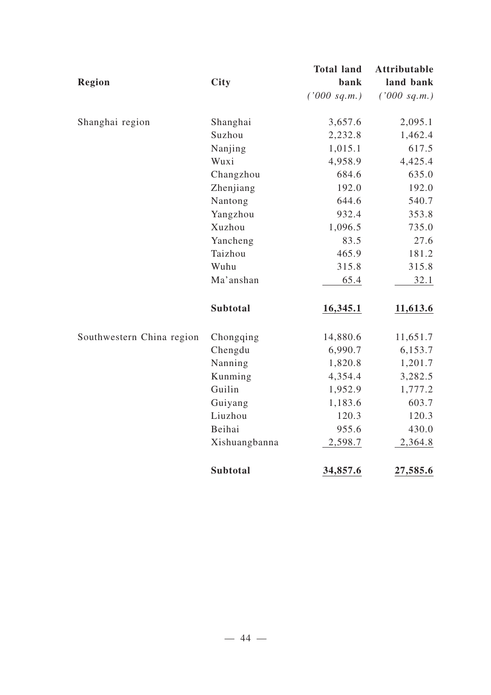|                           |                 | <b>Total land</b> | <b>Attributable</b> |
|---------------------------|-----------------|-------------------|---------------------|
| <b>Region</b>             | <b>City</b>     | bank              | land bank           |
|                           |                 | ('000 sq.m.)      | ('000 sq.m.)        |
| Shanghai region           | Shanghai        | 3,657.6           | 2,095.1             |
|                           | Suzhou          | 2,232.8           | 1,462.4             |
|                           | Nanjing         | 1,015.1           | 617.5               |
|                           | Wuxi            | 4,958.9           | 4,425.4             |
|                           | Changzhou       | 684.6             | 635.0               |
|                           | Zhenjiang       | 192.0             | 192.0               |
|                           | Nantong         | 644.6             | 540.7               |
|                           | Yangzhou        | 932.4             | 353.8               |
|                           | Xuzhou          | 1,096.5           | 735.0               |
|                           | Yancheng        | 83.5              | 27.6                |
|                           | Taizhou         | 465.9             | 181.2               |
|                           | Wuhu            | 315.8             | 315.8               |
|                           | Ma'anshan       | 65.4              | 32.1                |
|                           | <b>Subtotal</b> | 16,345.1          | 11,613.6            |
| Southwestern China region | Chongqing       | 14,880.6          | 11,651.7            |
|                           | Chengdu         | 6,990.7           | 6,153.7             |
|                           | Nanning         | 1,820.8           | 1,201.7             |
|                           | Kunming         | 4,354.4           | 3,282.5             |
|                           | Guilin          | 1,952.9           | 1,777.2             |
|                           | Guiyang         | 1,183.6           | 603.7               |
|                           | Liuzhou         | 120.3             | 120.3               |
|                           | Beihai          | 955.6             | 430.0               |
|                           | Xishuangbanna   | 2,598.7           | 2,364.8             |
|                           | <b>Subtotal</b> | 34,857.6          | 27,585.6            |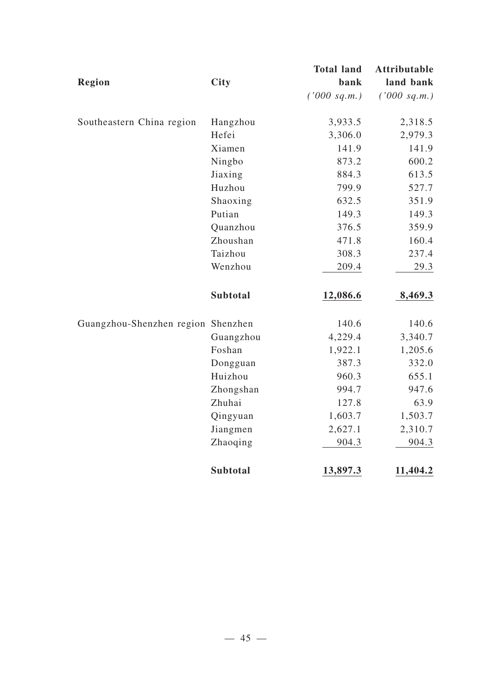|                                    |                 | <b>Total land</b> | <b>Attributable</b> |
|------------------------------------|-----------------|-------------------|---------------------|
| <b>Region</b>                      | <b>City</b>     | bank              | land bank           |
|                                    |                 | ('000 sq.m.)      | ('000 sq.m.)        |
| Southeastern China region          | Hangzhou        | 3,933.5           | 2,318.5             |
|                                    | Hefei           | 3,306.0           | 2,979.3             |
|                                    | Xiamen          | 141.9             | 141.9               |
|                                    | Ningbo          | 873.2             | 600.2               |
|                                    | Jiaxing         | 884.3             | 613.5               |
|                                    | Huzhou          | 799.9             | 527.7               |
|                                    | Shaoxing        | 632.5             | 351.9               |
|                                    | Putian          | 149.3             | 149.3               |
|                                    | Quanzhou        | 376.5             | 359.9               |
|                                    | Zhoushan        | 471.8             | 160.4               |
|                                    | Taizhou         | 308.3             | 237.4               |
|                                    | Wenzhou         | 209.4             | 29.3                |
|                                    | <b>Subtotal</b> | 12,086.6          | 8,469.3             |
| Guangzhou-Shenzhen region Shenzhen |                 | 140.6             | 140.6               |
|                                    | Guangzhou       | 4,229.4           | 3,340.7             |
|                                    | Foshan          | 1,922.1           | 1,205.6             |
|                                    | Dongguan        | 387.3             | 332.0               |
|                                    | Huizhou         | 960.3             | 655.1               |
|                                    | Zhongshan       | 994.7             | 947.6               |
|                                    | Zhuhai          | 127.8             | 63.9                |
|                                    | Qingyuan        | 1,603.7           | 1,503.7             |
|                                    | Jiangmen        | 2,627.1           | 2,310.7             |
|                                    | Zhaoqing        | 904.3             | 904.3               |
|                                    | <b>Subtotal</b> | 13,897.3          | 11,404.2            |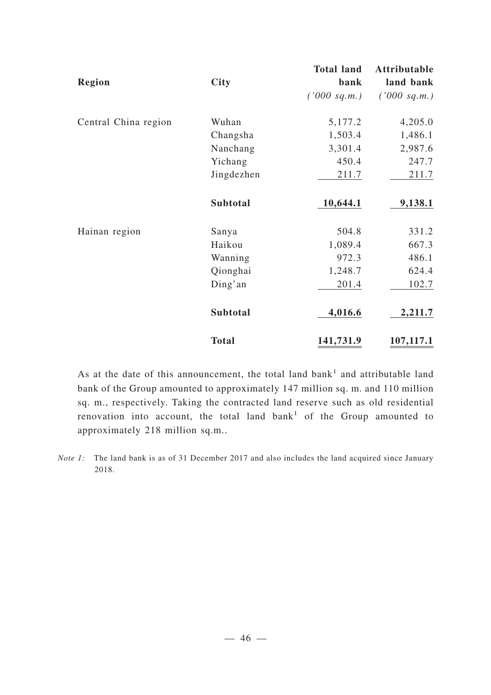|                      |              | <b>Total land</b> | Attributable |
|----------------------|--------------|-------------------|--------------|
| <b>Region</b>        | <b>City</b>  | bank              | land bank    |
|                      |              | ('000 sq.m.)      | ('000 sq.m.) |
| Central China region | Wuhan        | 5,177.2           | 4,205.0      |
|                      | Changsha     | 1,503.4           | 1,486.1      |
|                      | Nanchang     | 3,301.4           | 2,987.6      |
|                      | Yichang      | 450.4             | 247.7        |
|                      | Jingdezhen   | 211.7             | 211.7        |
|                      | Subtotal     | 10,644.1          | 9,138.1      |
| Hainan region        | Sanya        | 504.8             | 331.2        |
|                      | Haikou       | 1,089.4           | 667.3        |
|                      | Wanning      | 972.3             | 486.1        |
|                      | Qionghai     | 1,248.7           | 624.4        |
|                      | Ding'an      | 201.4             | 102.7        |
|                      | Subtotal     | 4,016.6           | 2,211.7      |
|                      | <b>Total</b> | 141,731.9         | 107,117.1    |

As at the date of this announcement, the total land bank<sup>1</sup> and attributable land bank of the Group amounted to approximately 147 million sq. m. and 110 million sq. m., respectively. Taking the contracted land reserve such as old residential renovation into account, the total land bank<sup>1</sup> of the Group amounted to approximately 218 million sq.m..

*Note 1:* The land bank is as of 31 December 2017 and also includes the land acquired since January 2018.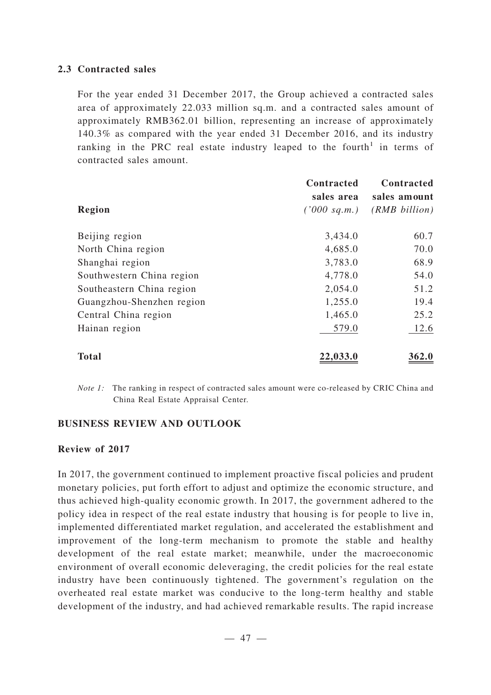### **2.3 Contracted sales**

For the year ended 31 December 2017, the Group achieved a contracted sales area of approximately 22.033 million sq.m. and a contracted sales amount of approximately RMB362.01 billion, representing an increase of approximately 140.3% as compared with the year ended 31 December 2016, and its industry ranking in the PRC real estate industry leaped to the fourth<sup>1</sup> in terms of contracted sales amount.

|                           | Contracted<br>sales area | Contracted<br>sales amount |
|---------------------------|--------------------------|----------------------------|
| Region                    | ('000 sq.m.)             | $(RMB\ billion)$           |
| Beijing region            | 3,434.0                  | 60.7                       |
| North China region        | 4,685.0                  | 70.0                       |
| Shanghai region           | 3,783.0                  | 68.9                       |
| Southwestern China region | 4,778.0                  | 54.0                       |
| Southeastern China region | 2,054.0                  | 51.2                       |
| Guangzhou-Shenzhen region | 1,255.0                  | 19.4                       |
| Central China region      | 1,465.0                  | 25.2                       |
| Hainan region             | 579.0                    | 12.6                       |
| Total                     | 22,033.0                 | 362.0                      |

*Note 1:* The ranking in respect of contracted sales amount were co-released by CRIC China and China Real Estate Appraisal Center.

### **BUSINESS REVIEW AND OUTLOOK**

### **Review of 2017**

In 2017, the government continued to implement proactive fiscal policies and prudent monetary policies, put forth effort to adjust and optimize the economic structure, and thus achieved high-quality economic growth. In 2017, the government adhered to the policy idea in respect of the real estate industry that housing is for people to live in, implemented differentiated market regulation, and accelerated the establishment and improvement of the long-term mechanism to promote the stable and healthy development of the real estate market; meanwhile, under the macroeconomic environment of overall economic deleveraging, the credit policies for the real estate industry have been continuously tightened. The government's regulation on the overheated real estate market was conducive to the long-term healthy and stable development of the industry, and had achieved remarkable results. The rapid increase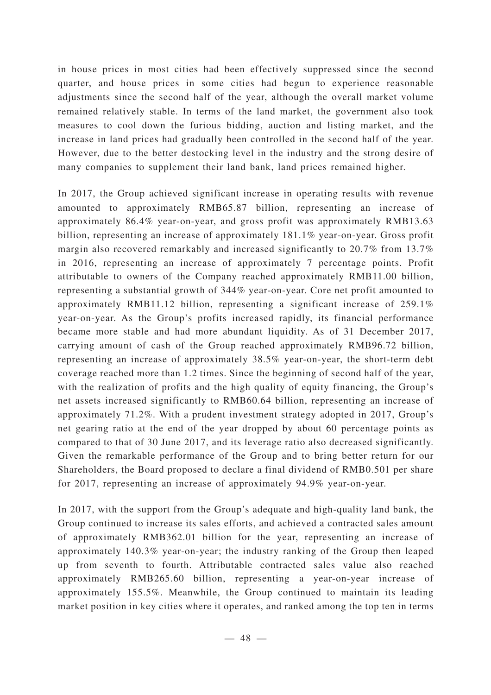in house prices in most cities had been effectively suppressed since the second quarter, and house prices in some cities had begun to experience reasonable adjustments since the second half of the year, although the overall market volume remained relatively stable. In terms of the land market, the government also took measures to cool down the furious bidding, auction and listing market, and the increase in land prices had gradually been controlled in the second half of the year. However, due to the better destocking level in the industry and the strong desire of many companies to supplement their land bank, land prices remained higher.

In 2017, the Group achieved significant increase in operating results with revenue amounted to approximately RMB65.87 billion, representing an increase of approximately 86.4% year-on-year, and gross profit was approximately RMB13.63 billion, representing an increase of approximately 181.1% year-on-year. Gross profit margin also recovered remarkably and increased significantly to 20.7% from 13.7% in 2016, representing an increase of approximately 7 percentage points. Profit attributable to owners of the Company reached approximately RMB11.00 billion, representing a substantial growth of 344% year-on-year. Core net profit amounted to approximately RMB11.12 billion, representing a significant increase of 259.1% year-on-year. As the Group's profits increased rapidly, its financial performance became more stable and had more abundant liquidity. As of 31 December 2017, carrying amount of cash of the Group reached approximately RMB96.72 billion, representing an increase of approximately 38.5% year-on-year, the short-term debt coverage reached more than 1.2 times. Since the beginning of second half of the year, with the realization of profits and the high quality of equity financing, the Group's net assets increased significantly to RMB60.64 billion, representing an increase of approximately 71.2%. With a prudent investment strategy adopted in 2017, Group's net gearing ratio at the end of the year dropped by about 60 percentage points as compared to that of 30 June 2017, and its leverage ratio also decreased significantly. Given the remarkable performance of the Group and to bring better return for our Shareholders, the Board proposed to declare a final dividend of RMB0.501 per share for 2017, representing an increase of approximately 94.9% year-on-year.

In 2017, with the support from the Group's adequate and high-quality land bank, the Group continued to increase its sales efforts, and achieved a contracted sales amount of approximately RMB362.01 billion for the year, representing an increase of approximately 140.3% year-on-year; the industry ranking of the Group then leaped up from seventh to fourth. Attributable contracted sales value also reached approximately RMB265.60 billion, representing a year-on-year increase of approximately 155.5%. Meanwhile, the Group continued to maintain its leading market position in key cities where it operates, and ranked among the top ten in terms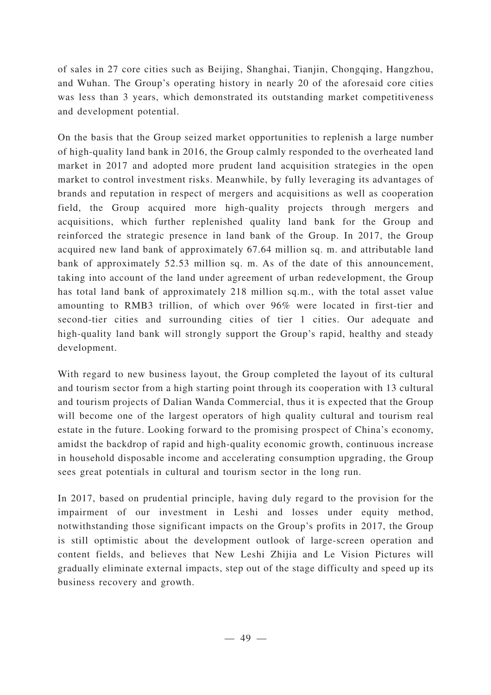of sales in 27 core cities such as Beijing, Shanghai, Tianjin, Chongqing, Hangzhou, and Wuhan. The Group's operating history in nearly 20 of the aforesaid core cities was less than 3 years, which demonstrated its outstanding market competitiveness and development potential.

On the basis that the Group seized market opportunities to replenish a large number of high-quality land bank in 2016, the Group calmly responded to the overheated land market in 2017 and adopted more prudent land acquisition strategies in the open market to control investment risks. Meanwhile, by fully leveraging its advantages of brands and reputation in respect of mergers and acquisitions as well as cooperation field, the Group acquired more high-quality projects through mergers and acquisitions, which further replenished quality land bank for the Group and reinforced the strategic presence in land bank of the Group. In 2017, the Group acquired new land bank of approximately 67.64 million sq. m. and attributable land bank of approximately 52.53 million sq. m. As of the date of this announcement, taking into account of the land under agreement of urban redevelopment, the Group has total land bank of approximately 218 million sq.m., with the total asset value amounting to RMB3 trillion, of which over 96% were located in first-tier and second-tier cities and surrounding cities of tier 1 cities. Our adequate and high-quality land bank will strongly support the Group's rapid, healthy and steady development.

With regard to new business layout, the Group completed the layout of its cultural and tourism sector from a high starting point through its cooperation with 13 cultural and tourism projects of Dalian Wanda Commercial, thus it is expected that the Group will become one of the largest operators of high quality cultural and tourism real estate in the future. Looking forward to the promising prospect of China's economy, amidst the backdrop of rapid and high-quality economic growth, continuous increase in household disposable income and accelerating consumption upgrading, the Group sees great potentials in cultural and tourism sector in the long run.

In 2017, based on prudential principle, having duly regard to the provision for the impairment of our investment in Leshi and losses under equity method, notwithstanding those significant impacts on the Group's profits in 2017, the Group is still optimistic about the development outlook of large-screen operation and content fields, and believes that New Leshi Zhijia and Le Vision Pictures will gradually eliminate external impacts, step out of the stage difficulty and speed up its business recovery and growth.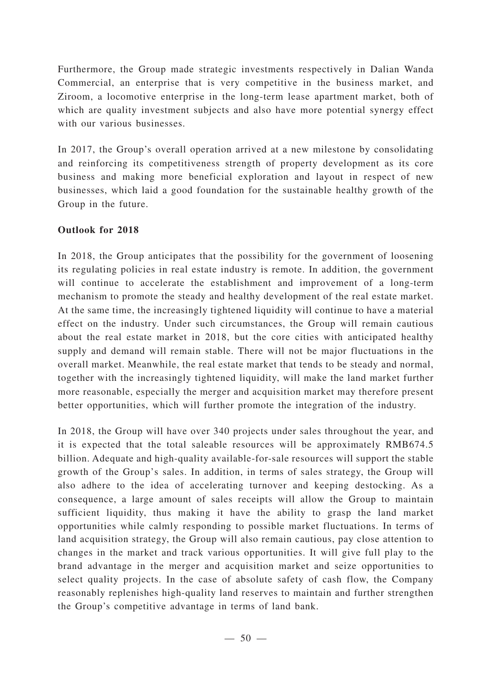Furthermore, the Group made strategic investments respectively in Dalian Wanda Commercial, an enterprise that is very competitive in the business market, and Ziroom, a locomotive enterprise in the long-term lease apartment market, both of which are quality investment subjects and also have more potential synergy effect with our various businesses.

In 2017, the Group's overall operation arrived at a new milestone by consolidating and reinforcing its competitiveness strength of property development as its core business and making more beneficial exploration and layout in respect of new businesses, which laid a good foundation for the sustainable healthy growth of the Group in the future.

## **Outlook for 2018**

In 2018, the Group anticipates that the possibility for the government of loosening its regulating policies in real estate industry is remote. In addition, the government will continue to accelerate the establishment and improvement of a long-term mechanism to promote the steady and healthy development of the real estate market. At the same time, the increasingly tightened liquidity will continue to have a material effect on the industry. Under such circumstances, the Group will remain cautious about the real estate market in 2018, but the core cities with anticipated healthy supply and demand will remain stable. There will not be major fluctuations in the overall market. Meanwhile, the real estate market that tends to be steady and normal, together with the increasingly tightened liquidity, will make the land market further more reasonable, especially the merger and acquisition market may therefore present better opportunities, which will further promote the integration of the industry.

In 2018, the Group will have over 340 projects under sales throughout the year, and it is expected that the total saleable resources will be approximately RMB674.5 billion. Adequate and high-quality available-for-sale resources will support the stable growth of the Group's sales. In addition, in terms of sales strategy, the Group will also adhere to the idea of accelerating turnover and keeping destocking. As a consequence, a large amount of sales receipts will allow the Group to maintain sufficient liquidity, thus making it have the ability to grasp the land market opportunities while calmly responding to possible market fluctuations. In terms of land acquisition strategy, the Group will also remain cautious, pay close attention to changes in the market and track various opportunities. It will give full play to the brand advantage in the merger and acquisition market and seize opportunities to select quality projects. In the case of absolute safety of cash flow, the Company reasonably replenishes high-quality land reserves to maintain and further strengthen the Group's competitive advantage in terms of land bank.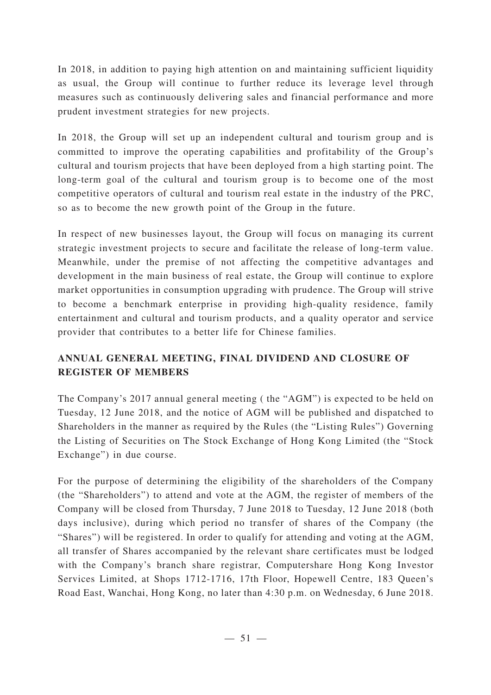In 2018, in addition to paying high attention on and maintaining sufficient liquidity as usual, the Group will continue to further reduce its leverage level through measures such as continuously delivering sales and financial performance and more prudent investment strategies for new projects.

In 2018, the Group will set up an independent cultural and tourism group and is committed to improve the operating capabilities and profitability of the Group's cultural and tourism projects that have been deployed from a high starting point. The long-term goal of the cultural and tourism group is to become one of the most competitive operators of cultural and tourism real estate in the industry of the PRC, so as to become the new growth point of the Group in the future.

In respect of new businesses layout, the Group will focus on managing its current strategic investment projects to secure and facilitate the release of long-term value. Meanwhile, under the premise of not affecting the competitive advantages and development in the main business of real estate, the Group will continue to explore market opportunities in consumption upgrading with prudence. The Group will strive to become a benchmark enterprise in providing high-quality residence, family entertainment and cultural and tourism products, and a quality operator and service provider that contributes to a better life for Chinese families.

# **ANNUAL GENERAL MEETING, FINAL DIVIDEND AND CLOSURE OF REGISTER OF MEMBERS**

The Company's 2017 annual general meeting ( the "AGM") is expected to be held on Tuesday, 12 June 2018, and the notice of AGM will be published and dispatched to Shareholders in the manner as required by the Rules (the "Listing Rules") Governing the Listing of Securities on The Stock Exchange of Hong Kong Limited (the "Stock Exchange") in due course.

For the purpose of determining the eligibility of the shareholders of the Company (the "Shareholders") to attend and vote at the AGM, the register of members of the Company will be closed from Thursday, 7 June 2018 to Tuesday, 12 June 2018 (both days inclusive), during which period no transfer of shares of the Company (the "Shares") will be registered. In order to qualify for attending and voting at the AGM, all transfer of Shares accompanied by the relevant share certificates must be lodged with the Company's branch share registrar, Computershare Hong Kong Investor Services Limited, at Shops 1712-1716, 17th Floor, Hopewell Centre, 183 Queen's Road East, Wanchai, Hong Kong, no later than 4:30 p.m. on Wednesday, 6 June 2018.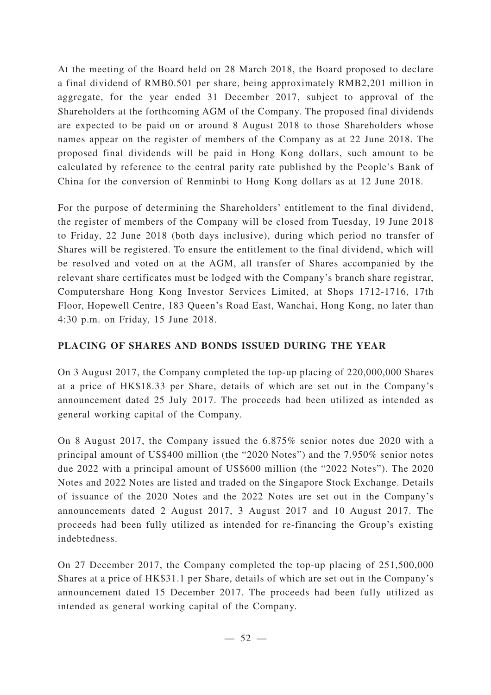At the meeting of the Board held on 28 March 2018, the Board proposed to declare a final dividend of RMB0.501 per share, being approximately RMB2,201 million in aggregate, for the year ended 31 December 2017, subject to approval of the Shareholders at the forthcoming AGM of the Company. The proposed final dividends are expected to be paid on or around 8 August 2018 to those Shareholders whose names appear on the register of members of the Company as at 22 June 2018. The proposed final dividends will be paid in Hong Kong dollars, such amount to be calculated by reference to the central parity rate published by the People's Bank of China for the conversion of Renminbi to Hong Kong dollars as at 12 June 2018.

For the purpose of determining the Shareholders' entitlement to the final dividend, the register of members of the Company will be closed from Tuesday, 19 June 2018 to Friday, 22 June 2018 (both days inclusive), during which period no transfer of Shares will be registered. To ensure the entitlement to the final dividend, which will be resolved and voted on at the AGM, all transfer of Shares accompanied by the relevant share certificates must be lodged with the Company's branch share registrar, Computershare Hong Kong Investor Services Limited, at Shops 1712-1716, 17th Floor, Hopewell Centre, 183 Queen's Road East, Wanchai, Hong Kong, no later than 4:30 p.m. on Friday, 15 June 2018.

# **PLACING OF SHARES AND BONDS ISSUED DURING THE YEAR**

On 3 August 2017, the Company completed the top-up placing of 220,000,000 Shares at a price of HK\$18.33 per Share, details of which are set out in the Company's announcement dated 25 July 2017. The proceeds had been utilized as intended as general working capital of the Company.

On 8 August 2017, the Company issued the 6.875% senior notes due 2020 with a principal amount of US\$400 million (the "2020 Notes") and the 7.950% senior notes due 2022 with a principal amount of US\$600 million (the "2022 Notes"). The 2020 Notes and 2022 Notes are listed and traded on the Singapore Stock Exchange. Details of issuance of the 2020 Notes and the 2022 Notes are set out in the Company's announcements dated 2 August 2017, 3 August 2017 and 10 August 2017. The proceeds had been fully utilized as intended for re-financing the Group's existing indebtedness.

On 27 December 2017, the Company completed the top-up placing of 251,500,000 Shares at a price of HK\$31.1 per Share, details of which are set out in the Company's announcement dated 15 December 2017. The proceeds had been fully utilized as intended as general working capital of the Company.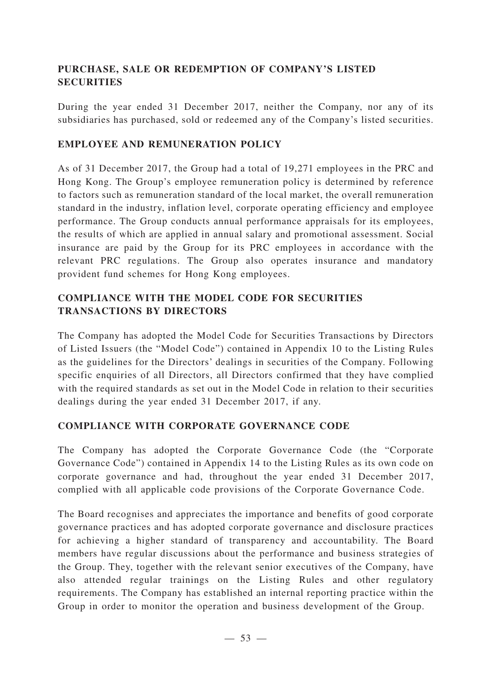## **PURCHASE, SALE OR REDEMPTION OF COMPANY'S LISTED SECURITIES**

During the year ended 31 December 2017, neither the Company, nor any of its subsidiaries has purchased, sold or redeemed any of the Company's listed securities.

## **EMPLOYEE AND REMUNERATION POLICY**

As of 31 December 2017, the Group had a total of 19,271 employees in the PRC and Hong Kong. The Group's employee remuneration policy is determined by reference to factors such as remuneration standard of the local market, the overall remuneration standard in the industry, inflation level, corporate operating efficiency and employee performance. The Group conducts annual performance appraisals for its employees, the results of which are applied in annual salary and promotional assessment. Social insurance are paid by the Group for its PRC employees in accordance with the relevant PRC regulations. The Group also operates insurance and mandatory provident fund schemes for Hong Kong employees.

## **COMPLIANCE WITH THE MODEL CODE FOR SECURITIES TRANSACTIONS BY DIRECTORS**

The Company has adopted the Model Code for Securities Transactions by Directors of Listed Issuers (the "Model Code") contained in Appendix 10 to the Listing Rules as the guidelines for the Directors' dealings in securities of the Company. Following specific enquiries of all Directors, all Directors confirmed that they have complied with the required standards as set out in the Model Code in relation to their securities dealings during the year ended 31 December 2017, if any.

## **COMPLIANCE WITH CORPORATE GOVERNANCE CODE**

The Company has adopted the Corporate Governance Code (the "Corporate Governance Code") contained in Appendix 14 to the Listing Rules as its own code on corporate governance and had, throughout the year ended 31 December 2017, complied with all applicable code provisions of the Corporate Governance Code.

The Board recognises and appreciates the importance and benefits of good corporate governance practices and has adopted corporate governance and disclosure practices for achieving a higher standard of transparency and accountability. The Board members have regular discussions about the performance and business strategies of the Group. They, together with the relevant senior executives of the Company, have also attended regular trainings on the Listing Rules and other regulatory requirements. The Company has established an internal reporting practice within the Group in order to monitor the operation and business development of the Group.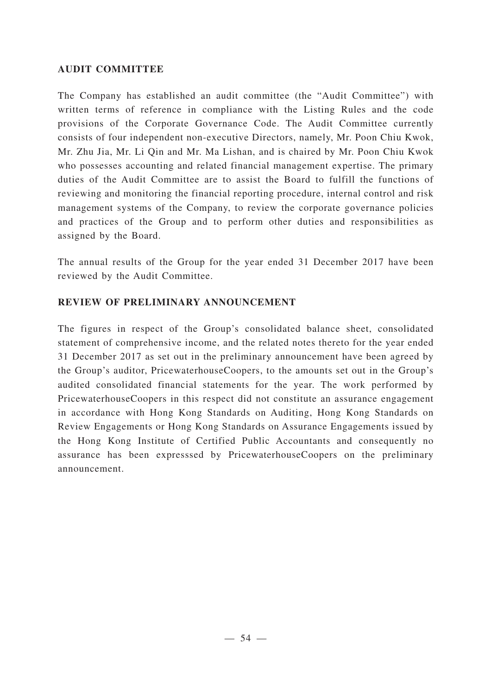### **AUDIT COMMITTEE**

The Company has established an audit committee (the "Audit Committee") with written terms of reference in compliance with the Listing Rules and the code provisions of the Corporate Governance Code. The Audit Committee currently consists of four independent non-executive Directors, namely, Mr. Poon Chiu Kwok, Mr. Zhu Jia, Mr. Li Qin and Mr. Ma Lishan, and is chaired by Mr. Poon Chiu Kwok who possesses accounting and related financial management expertise. The primary duties of the Audit Committee are to assist the Board to fulfill the functions of reviewing and monitoring the financial reporting procedure, internal control and risk management systems of the Company, to review the corporate governance policies and practices of the Group and to perform other duties and responsibilities as assigned by the Board.

The annual results of the Group for the year ended 31 December 2017 have been reviewed by the Audit Committee.

## **REVIEW OF PRELIMINARY ANNOUNCEMENT**

The figures in respect of the Group's consolidated balance sheet, consolidated statement of comprehensive income, and the related notes thereto for the year ended 31 December 2017 as set out in the preliminary announcement have been agreed by the Group's auditor, PricewaterhouseCoopers, to the amounts set out in the Group's audited consolidated financial statements for the year. The work performed by PricewaterhouseCoopers in this respect did not constitute an assurance engagement in accordance with Hong Kong Standards on Auditing, Hong Kong Standards on Review Engagements or Hong Kong Standards on Assurance Engagements issued by the Hong Kong Institute of Certified Public Accountants and consequently no assurance has been expresssed by PricewaterhouseCoopers on the preliminary announcement.